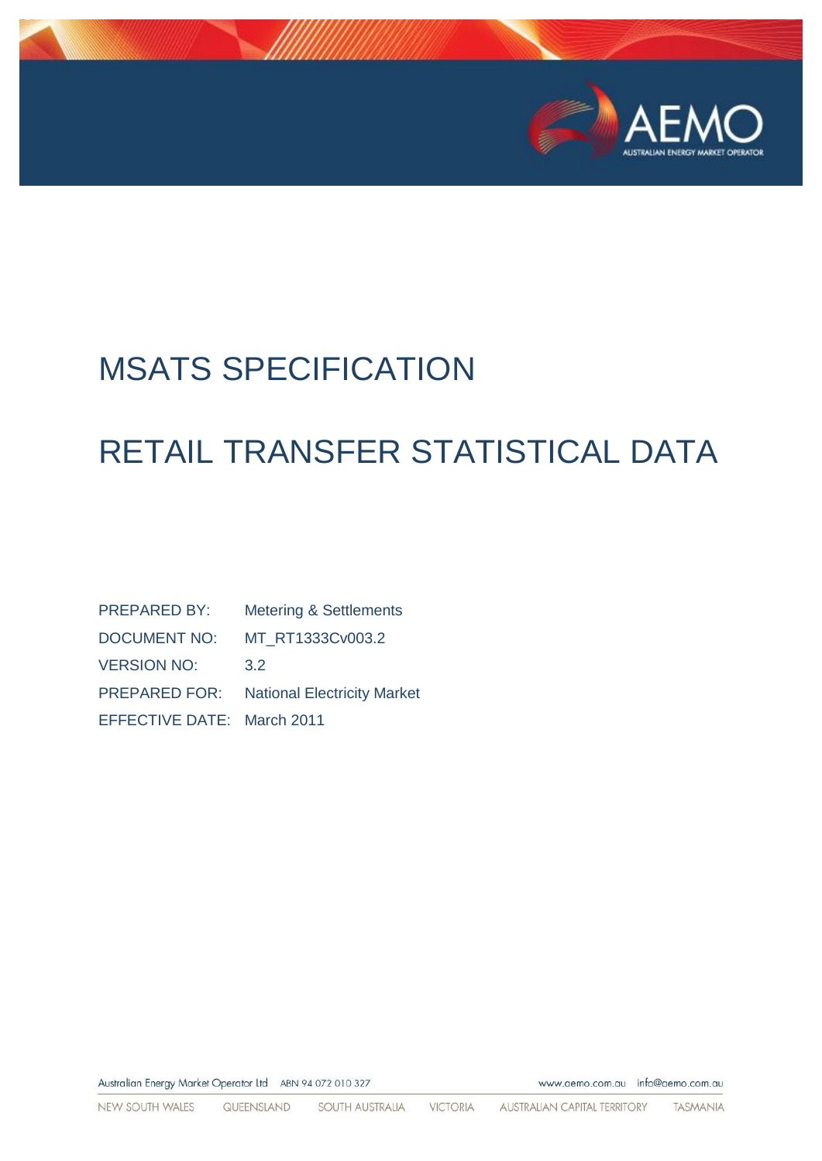

www.aemo.com.au info@aemo.com.au

# MSATS SPECIFICATION

# RETAIL TRANSFER STATISTICAL DATA

| <b>PREPARED BY:</b>        | <b>Metering &amp; Settlements</b>  |
|----------------------------|------------------------------------|
| DOCUMENT NO:               | MT RT1333Cv003.2                   |
| <b>VERSION NO:</b>         | 3.2                                |
| <b>PREPARED FOR:</b>       | <b>National Electricity Market</b> |
| EFFECTIVE DATE: March 2011 |                                    |

Australian Energy Market Operator Ltd ABN 94 072 010 327

NEW SOUTH WALES QUEENSLAND SOUTH AUSTRALIA VICTORIA **AUSTRALIAN CAPITAL TERRITORY** TASMANIA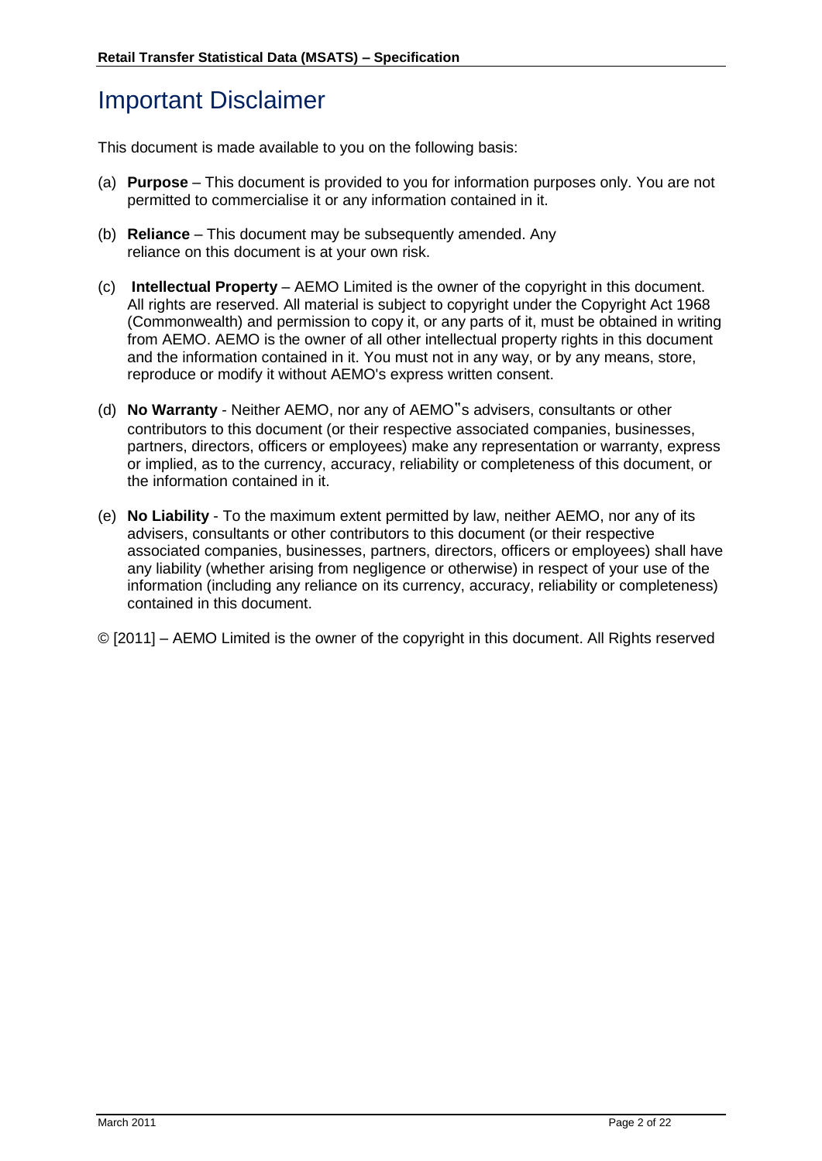## Important Disclaimer

This document is made available to you on the following basis:

- (a) **Purpose**  This document is provided to you for information purposes only. You are not permitted to commercialise it or any information contained in it.
- (b) **Reliance**  This document may be subsequently amended. Any reliance on this document is at your own risk.
- (c) **Intellectual Property**  AEMO Limited is the owner of the copyright in this document. All rights are reserved. All material is subject to copyright under the Copyright Act 1968 (Commonwealth) and permission to copy it, or any parts of it, must be obtained in writing from AEMO. AEMO is the owner of all other intellectual property rights in this document and the information contained in it. You must not in any way, or by any means, store, reproduce or modify it without AEMO's express written consent.
- (d) **No Warranty**  Neither AEMO, nor any of AEMO"s advisers, consultants or other contributors to this document (or their respective associated companies, businesses, partners, directors, officers or employees) make any representation or warranty, express or implied, as to the currency, accuracy, reliability or completeness of this document, or the information contained in it.
- (e) **No Liability**  To the maximum extent permitted by law, neither AEMO, nor any of its advisers, consultants or other contributors to this document (or their respective associated companies, businesses, partners, directors, officers or employees) shall have any liability (whether arising from negligence or otherwise) in respect of your use of the information (including any reliance on its currency, accuracy, reliability or completeness) contained in this document.
- © [2011] AEMO Limited is the owner of the copyright in this document. All Rights reserved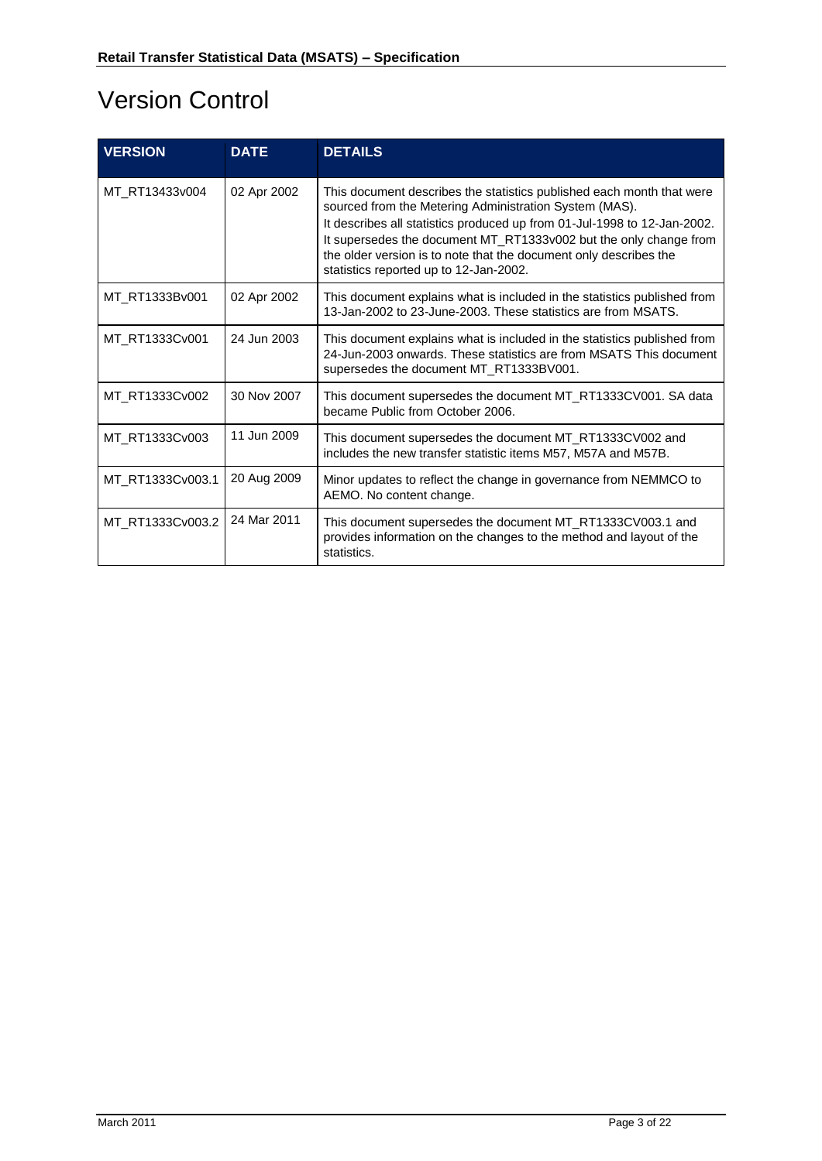# Version Control

| <b>VERSION</b>   | <b>DATE</b> | <b>DETAILS</b>                                                                                                                                                                                                                                                                                                                                                                                  |
|------------------|-------------|-------------------------------------------------------------------------------------------------------------------------------------------------------------------------------------------------------------------------------------------------------------------------------------------------------------------------------------------------------------------------------------------------|
| MT RT13433v004   | 02 Apr 2002 | This document describes the statistics published each month that were<br>sourced from the Metering Administration System (MAS).<br>It describes all statistics produced up from 01-Jul-1998 to 12-Jan-2002.<br>It supersedes the document MT_RT1333v002 but the only change from<br>the older version is to note that the document only describes the<br>statistics reported up to 12-Jan-2002. |
| MT RT1333Bv001   | 02 Apr 2002 | This document explains what is included in the statistics published from<br>13-Jan-2002 to 23-June-2003. These statistics are from MSATS.                                                                                                                                                                                                                                                       |
| MT RT1333Cv001   | 24 Jun 2003 | This document explains what is included in the statistics published from<br>24-Jun-2003 onwards. These statistics are from MSATS This document<br>supersedes the document MT_RT1333BV001.                                                                                                                                                                                                       |
| MT_RT1333Cv002   | 30 Nov 2007 | This document supersedes the document MT_RT1333CV001. SA data<br>became Public from October 2006.                                                                                                                                                                                                                                                                                               |
| MT_RT1333Cv003   | 11 Jun 2009 | This document supersedes the document MT_RT1333CV002 and<br>includes the new transfer statistic items M57, M57A and M57B.                                                                                                                                                                                                                                                                       |
| MT_RT1333Cv003.1 | 20 Aug 2009 | Minor updates to reflect the change in governance from NEMMCO to<br>AEMO. No content change.                                                                                                                                                                                                                                                                                                    |
| MT_RT1333Cv003.2 | 24 Mar 2011 | This document supersedes the document MT_RT1333CV003.1 and<br>provides information on the changes to the method and layout of the<br>statistics.                                                                                                                                                                                                                                                |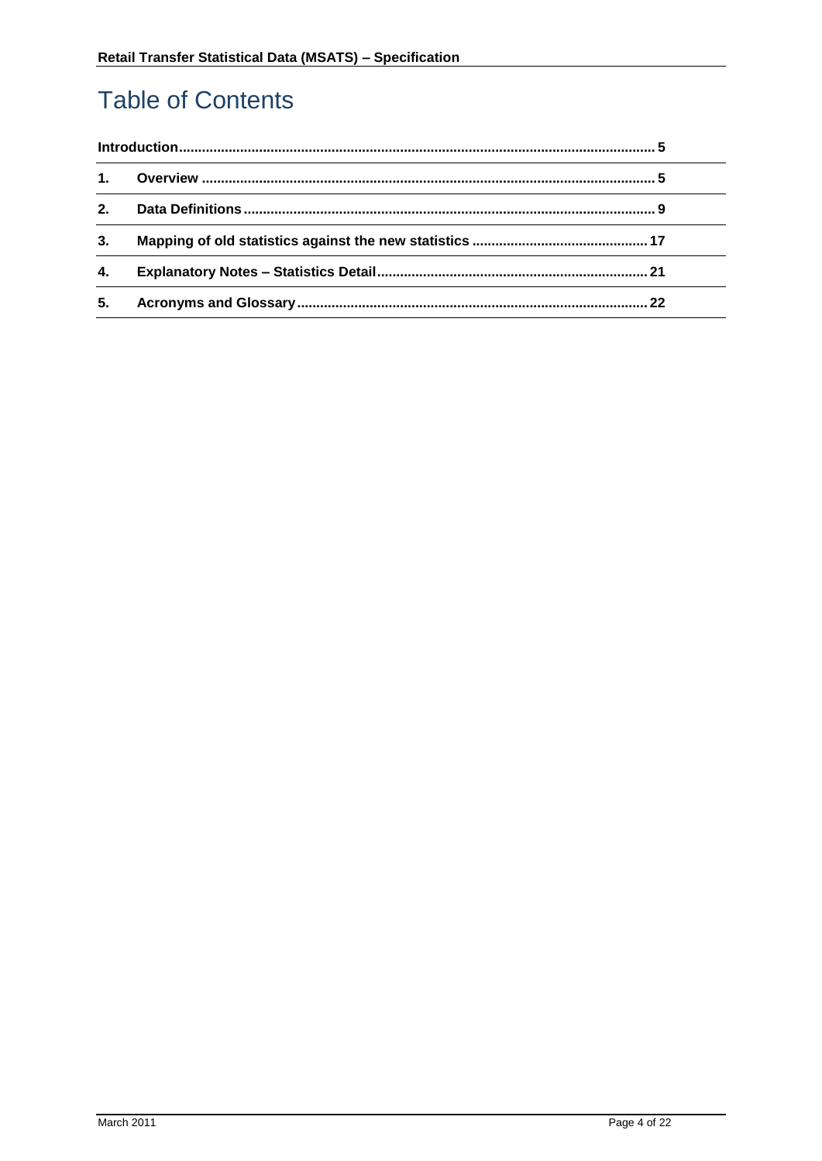# **Table of Contents**

| $\mathbf{1}$ . |  |
|----------------|--|
| 2.             |  |
| 3.             |  |
| 4.             |  |
| 5.             |  |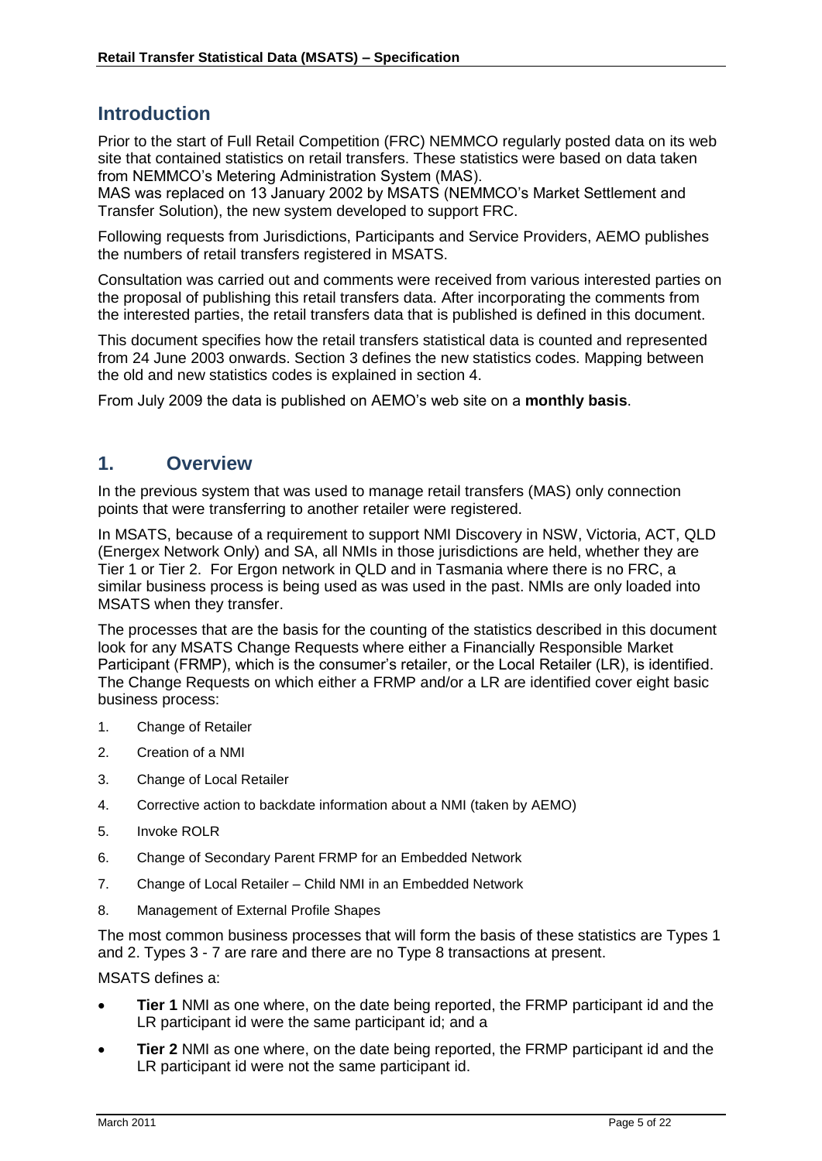#### <span id="page-4-0"></span>**Introduction**

Prior to the start of Full Retail Competition (FRC) NEMMCO regularly posted data on its web site that contained statistics on retail transfers. These statistics were based on data taken from NEMMCO"s Metering Administration System (MAS).

MAS was replaced on 13 January 2002 by MSATS (NEMMCO"s Market Settlement and Transfer Solution), the new system developed to support FRC.

Following requests from Jurisdictions, Participants and Service Providers, AEMO publishes the numbers of retail transfers registered in MSATS.

Consultation was carried out and comments were received from various interested parties on the proposal of publishing this retail transfers data. After incorporating the comments from the interested parties, the retail transfers data that is published is defined in this document.

This document specifies how the retail transfers statistical data is counted and represented from 24 June 2003 onwards. Section 3 defines the new statistics codes. Mapping between the old and new statistics codes is explained in section 4.

From July 2009 the data is published on AEMO"s web site on a **monthly basis**.

#### <span id="page-4-1"></span>**1. Overview**

In the previous system that was used to manage retail transfers (MAS) only connection points that were transferring to another retailer were registered.

In MSATS, because of a requirement to support NMI Discovery in NSW, Victoria, ACT, QLD (Energex Network Only) and SA, all NMIs in those jurisdictions are held, whether they are Tier 1 or Tier 2. For Ergon network in QLD and in Tasmania where there is no FRC, a similar business process is being used as was used in the past. NMIs are only loaded into MSATS when they transfer.

The processes that are the basis for the counting of the statistics described in this document look for any MSATS Change Requests where either a Financially Responsible Market Participant (FRMP), which is the consumer"s retailer, or the Local Retailer (LR), is identified. The Change Requests on which either a FRMP and/or a LR are identified cover eight basic business process:

- 1. Change of Retailer
- 2. Creation of a NMI
- 3. Change of Local Retailer
- 4. Corrective action to backdate information about a NMI (taken by AEMO)
- 5. Invoke ROLR
- 6. Change of Secondary Parent FRMP for an Embedded Network
- 7. Change of Local Retailer Child NMI in an Embedded Network
- 8. Management of External Profile Shapes

The most common business processes that will form the basis of these statistics are Types 1 and 2. Types 3 - 7 are rare and there are no Type 8 transactions at present.

MSATS defines a:

- **Tier 1** NMI as one where, on the date being reported, the FRMP participant id and the LR participant id were the same participant id; and a
- **Tier 2** NMI as one where, on the date being reported, the FRMP participant id and the LR participant id were not the same participant id.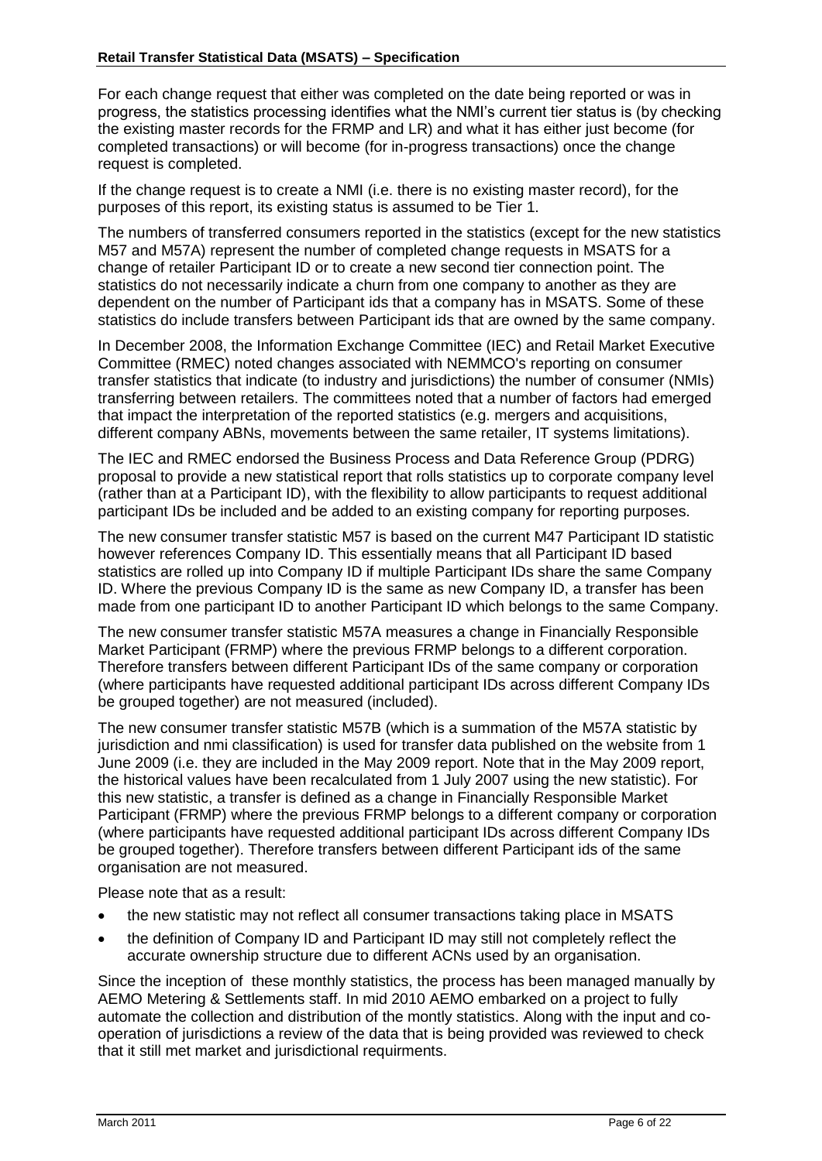For each change request that either was completed on the date being reported or was in progress, the statistics processing identifies what the NMI"s current tier status is (by checking the existing master records for the FRMP and LR) and what it has either just become (for completed transactions) or will become (for in-progress transactions) once the change request is completed.

If the change request is to create a NMI (i.e. there is no existing master record), for the purposes of this report, its existing status is assumed to be Tier 1.

The numbers of transferred consumers reported in the statistics (except for the new statistics M57 and M57A) represent the number of completed change requests in MSATS for a change of retailer Participant ID or to create a new second tier connection point. The statistics do not necessarily indicate a churn from one company to another as they are dependent on the number of Participant ids that a company has in MSATS. Some of these statistics do include transfers between Participant ids that are owned by the same company.

In December 2008, the Information Exchange Committee (IEC) and Retail Market Executive Committee (RMEC) noted changes associated with NEMMCO's reporting on consumer transfer statistics that indicate (to industry and jurisdictions) the number of consumer (NMIs) transferring between retailers. The committees noted that a number of factors had emerged that impact the interpretation of the reported statistics (e.g. mergers and acquisitions, different company ABNs, movements between the same retailer, IT systems limitations).

The IEC and RMEC endorsed the Business Process and Data Reference Group (PDRG) proposal to provide a new statistical report that rolls statistics up to corporate company level (rather than at a Participant ID), with the flexibility to allow participants to request additional participant IDs be included and be added to an existing company for reporting purposes.

The new consumer transfer statistic M57 is based on the current M47 Participant ID statistic however references Company ID. This essentially means that all Participant ID based statistics are rolled up into Company ID if multiple Participant IDs share the same Company ID. Where the previous Company ID is the same as new Company ID, a transfer has been made from one participant ID to another Participant ID which belongs to the same Company.

The new consumer transfer statistic M57A measures a change in Financially Responsible Market Participant (FRMP) where the previous FRMP belongs to a different corporation. Therefore transfers between different Participant IDs of the same company or corporation (where participants have requested additional participant IDs across different Company IDs be grouped together) are not measured (included).

The new consumer transfer statistic M57B (which is a summation of the M57A statistic by jurisdiction and nmi classification) is used for transfer data published on the website from 1 June 2009 (i.e. they are included in the May 2009 report. Note that in the May 2009 report, the historical values have been recalculated from 1 July 2007 using the new statistic). For this new statistic, a transfer is defined as a change in Financially Responsible Market Participant (FRMP) where the previous FRMP belongs to a different company or corporation (where participants have requested additional participant IDs across different Company IDs be grouped together). Therefore transfers between different Participant ids of the same organisation are not measured.

Please note that as a result:

- the new statistic may not reflect all consumer transactions taking place in MSATS
- the definition of Company ID and Participant ID may still not completely reflect the accurate ownership structure due to different ACNs used by an organisation.

Since the inception of these monthly statistics, the process has been managed manually by AEMO Metering & Settlements staff. In mid 2010 AEMO embarked on a project to fully automate the collection and distribution of the montly statistics. Along with the input and cooperation of jurisdictions a review of the data that is being provided was reviewed to check that it still met market and jurisdictional requirments.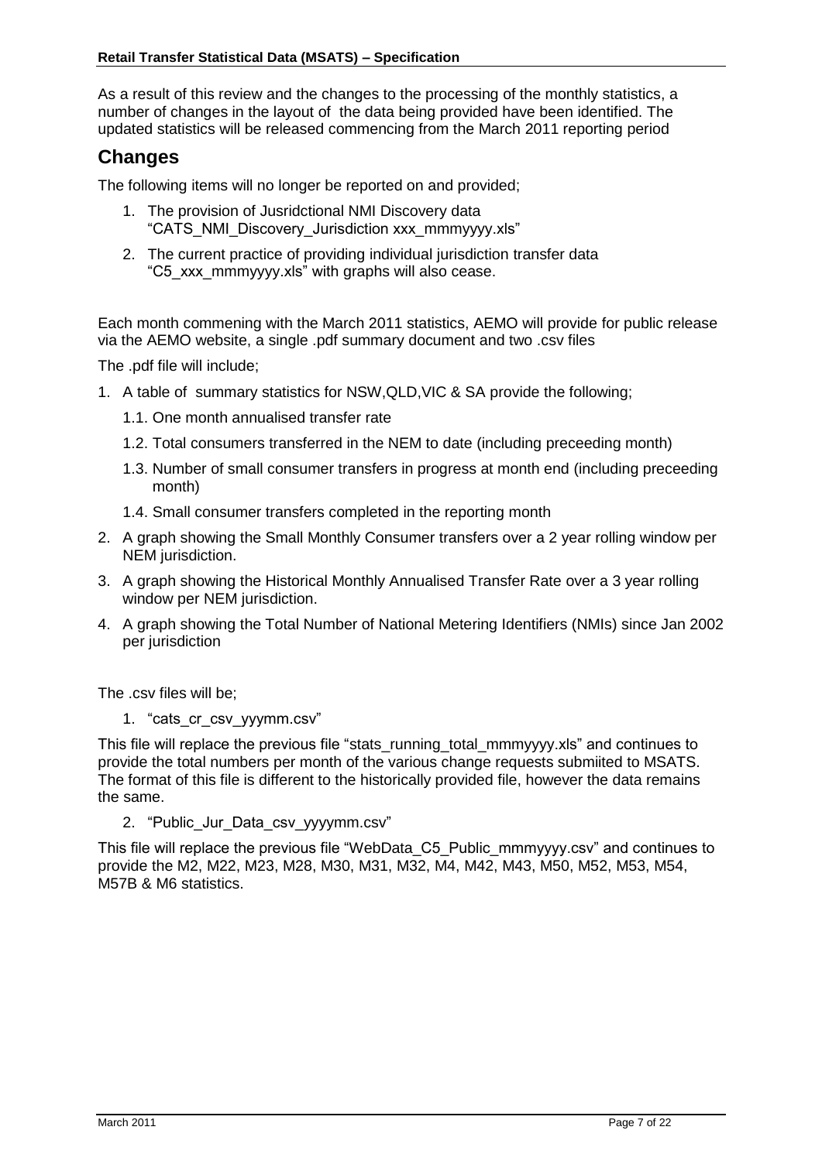As a result of this review and the changes to the processing of the monthly statistics, a number of changes in the layout of the data being provided have been identified. The updated statistics will be released commencing from the March 2011 reporting period

#### **Changes**

The following items will no longer be reported on and provided;

- 1. The provision of Jusridctional NMI Discovery data "CATS\_NMI\_Discovery\_Jurisdiction xxx\_mmmyyyy.xls"
- 2. The current practice of providing individual jurisdiction transfer data "C5\_xxx\_mmmyyyy.xls" with graphs will also cease.

Each month commening with the March 2011 statistics, AEMO will provide for public release via the AEMO website, a single .pdf summary document and two .csv files

The .pdf file will include;

- 1. A table of summary statistics for NSW,QLD,VIC & SA provide the following;
	- 1.1. One month annualised transfer rate
	- 1.2. Total consumers transferred in the NEM to date (including preceeding month)
	- 1.3. Number of small consumer transfers in progress at month end (including preceeding month)
	- 1.4. Small consumer transfers completed in the reporting month
- 2. A graph showing the Small Monthly Consumer transfers over a 2 year rolling window per NEM jurisdiction.
- 3. A graph showing the Historical Monthly Annualised Transfer Rate over a 3 year rolling window per NEM jurisdiction.
- 4. A graph showing the Total Number of National Metering Identifiers (NMIs) since Jan 2002 per jurisdiction

The .csv files will be;

1. "cats\_cr\_csv\_yyymm.csv"

This file will replace the previous file "stats running total mmmyyyy.xls" and continues to provide the total numbers per month of the various change requests submiited to MSATS. The format of this file is different to the historically provided file, however the data remains the same.

2. "Public Jur Data csv\_yyyymm.csv"

This file will replace the previous file "WebData\_C5\_Public\_mmmyyyy.csv" and continues to provide the M2, M22, M23, M28, M30, M31, M32, M4, M42, M43, M50, M52, M53, M54, M57B & M6 statistics.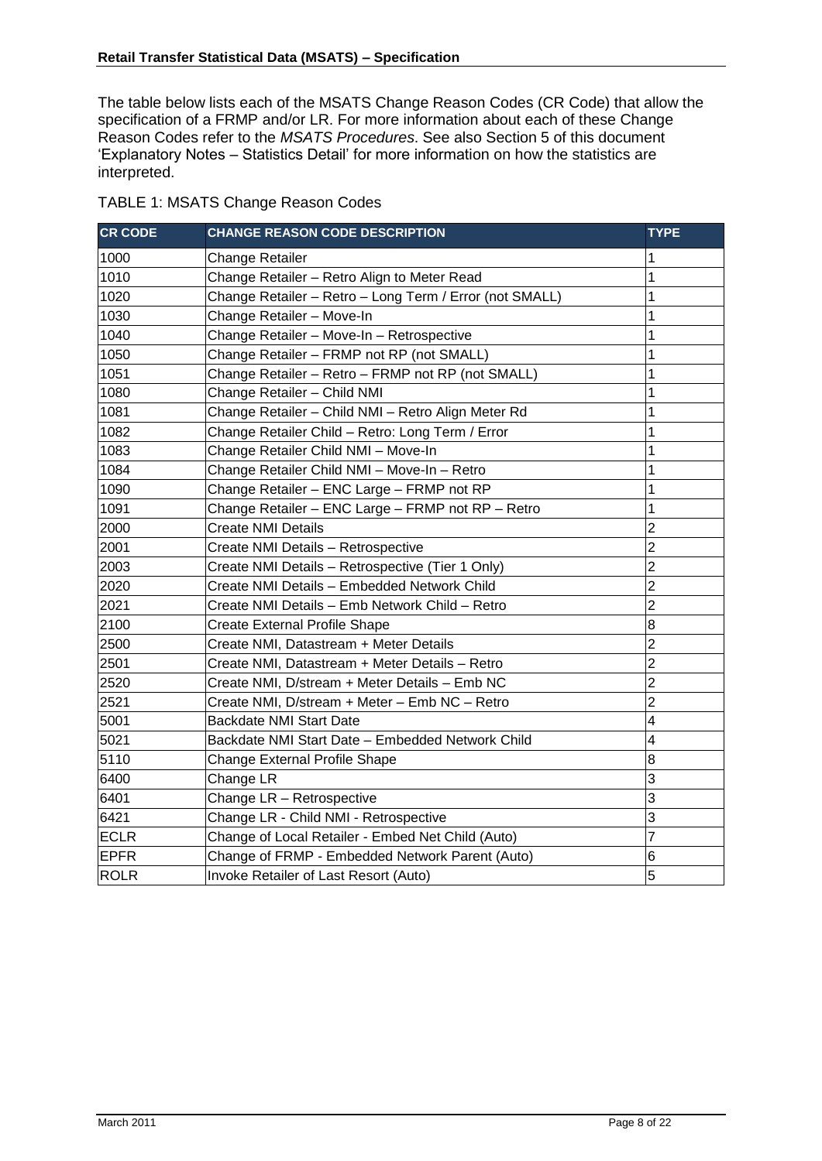The table below lists each of the MSATS Change Reason Codes (CR Code) that allow the specification of a FRMP and/or LR. For more information about each of these Change Reason Codes refer to the *MSATS Procedures*. See also Section 5 of this document "Explanatory Notes – Statistics Detail" for more information on how the statistics are interpreted.

| <b>CR CODE</b> | <b>CHANGE REASON CODE DESCRIPTION</b>                   | <b>TYPE</b>             |
|----------------|---------------------------------------------------------|-------------------------|
| 1000           | <b>Change Retailer</b>                                  | 1                       |
| 1010           | Change Retailer - Retro Align to Meter Read             | 1                       |
| 1020           | Change Retailer - Retro - Long Term / Error (not SMALL) | 1                       |
| 1030           | Change Retailer - Move-In                               | 1                       |
| 1040           | Change Retailer - Move-In - Retrospective               | 1                       |
| 1050           | Change Retailer - FRMP not RP (not SMALL)               | 1                       |
| 1051           | Change Retailer - Retro - FRMP not RP (not SMALL)       | 1                       |
| 1080           | Change Retailer - Child NMI                             | 1                       |
| 1081           | Change Retailer - Child NMI - Retro Align Meter Rd      | 1                       |
| 1082           | Change Retailer Child - Retro: Long Term / Error        | 1                       |
| 1083           | Change Retailer Child NMI - Move-In                     | 1                       |
| 1084           | Change Retailer Child NMI - Move-In - Retro             | 1                       |
| 1090           | Change Retailer - ENC Large - FRMP not RP               | 1                       |
| 1091           | Change Retailer - ENC Large - FRMP not RP - Retro       | 1                       |
| 2000           | <b>Create NMI Details</b>                               | $\overline{2}$          |
| 2001           | Create NMI Details - Retrospective                      | $\overline{2}$          |
| 2003           | Create NMI Details - Retrospective (Tier 1 Only)        | $\overline{2}$          |
| 2020           | Create NMI Details - Embedded Network Child             | $\overline{2}$          |
| 2021           | Create NMI Details - Emb Network Child - Retro          | $\overline{2}$          |
| 2100           | <b>Create External Profile Shape</b>                    | 8                       |
| 2500           | Create NMI, Datastream + Meter Details                  | $\overline{c}$          |
| 2501           | Create NMI, Datastream + Meter Details - Retro          | $\overline{2}$          |
| 2520           | Create NMI, D/stream + Meter Details - Emb NC           | $\overline{2}$          |
| 2521           | Create NMI, D/stream + Meter - Emb NC - Retro           | $\overline{2}$          |
| 5001           | <b>Backdate NMI Start Date</b>                          | $\overline{\mathbf{4}}$ |
| 5021           | Backdate NMI Start Date - Embedded Network Child        | $\overline{4}$          |
| 5110           | Change External Profile Shape                           | $\bf{8}$                |
| 6400           | Change LR                                               | 3                       |
| 6401           | Change LR - Retrospective                               | 3                       |
| 6421           | Change LR - Child NMI - Retrospective                   | 3                       |
| <b>ECLR</b>    | Change of Local Retailer - Embed Net Child (Auto)       | 7                       |
| <b>EPFR</b>    | Change of FRMP - Embedded Network Parent (Auto)         | 6                       |
| <b>ROLR</b>    | Invoke Retailer of Last Resort (Auto)                   | 5                       |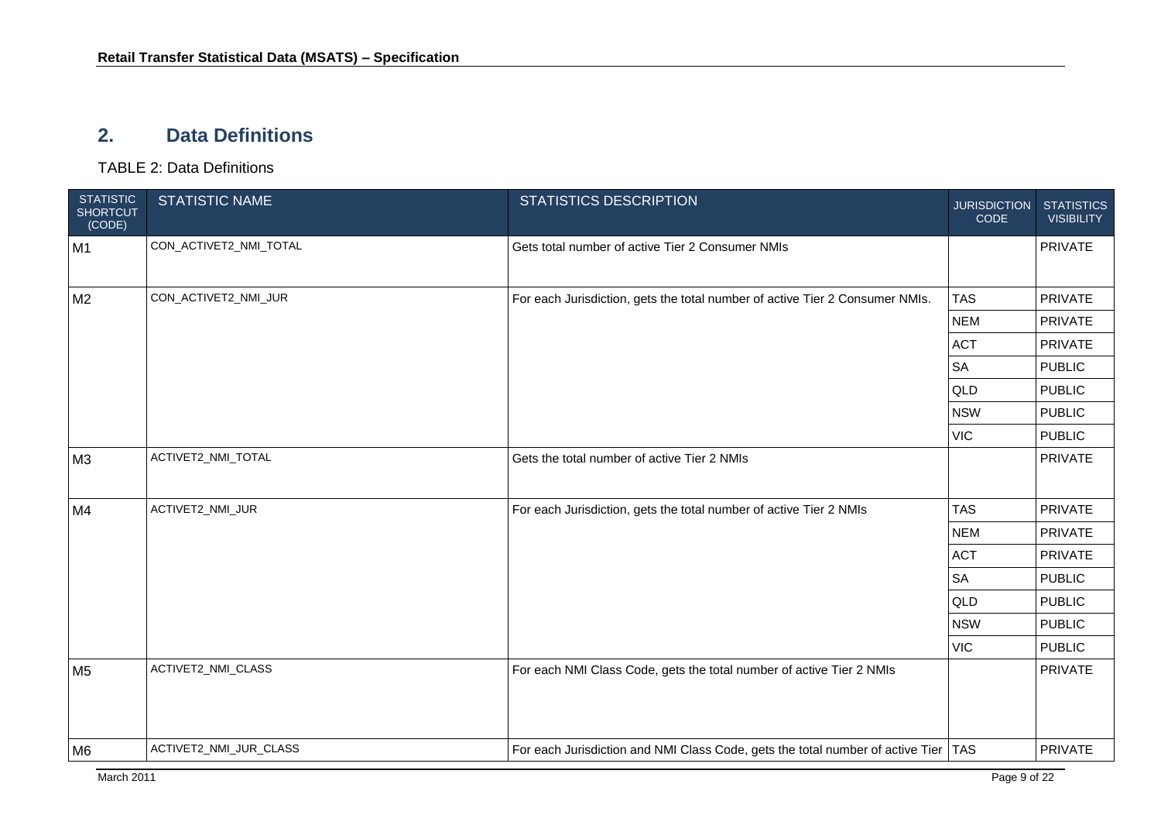#### **2. Data Definitions**

TABLE 2: Data Definitions

<span id="page-8-0"></span>

| <b>STATISTIC</b><br><b>SHORTCUT</b><br>(CODE) | <b>STATISTIC NAME</b>  | <b>STATISTICS DESCRIPTION</b>                                                        | <b>JURISDICTION</b><br>CODE | <b>STATISTICS</b><br><b>VISIBILITY</b> |
|-----------------------------------------------|------------------------|--------------------------------------------------------------------------------------|-----------------------------|----------------------------------------|
| M1                                            | CON_ACTIVET2_NMI_TOTAL | Gets total number of active Tier 2 Consumer NMIs                                     |                             | <b>PRIVATE</b>                         |
| M <sub>2</sub>                                | CON_ACTIVET2_NMI_JUR   | For each Jurisdiction, gets the total number of active Tier 2 Consumer NMIs.         | <b>TAS</b>                  | PRIVATE                                |
|                                               |                        |                                                                                      | <b>NEM</b>                  | PRIVATE                                |
|                                               |                        |                                                                                      | <b>ACT</b>                  | PRIVATE                                |
|                                               |                        |                                                                                      | <b>SA</b>                   | <b>PUBLIC</b>                          |
|                                               |                        |                                                                                      | QLD                         | <b>PUBLIC</b>                          |
|                                               |                        | <b>NSW</b>                                                                           | <b>PUBLIC</b>               |                                        |
|                                               |                        |                                                                                      | <b>VIC</b>                  | <b>PUBLIC</b>                          |
| M <sub>3</sub>                                | ACTIVET2_NMI_TOTAL     | Gets the total number of active Tier 2 NMIs                                          |                             | PRIVATE                                |
| M4                                            | ACTIVET2_NMI_JUR       | For each Jurisdiction, gets the total number of active Tier 2 NMIs                   | <b>TAS</b>                  | <b>PRIVATE</b>                         |
|                                               |                        |                                                                                      | <b>NEM</b>                  | <b>PRIVATE</b>                         |
|                                               |                        |                                                                                      | <b>ACT</b>                  | <b>PRIVATE</b>                         |
|                                               |                        |                                                                                      | <b>SA</b>                   | <b>PUBLIC</b>                          |
|                                               |                        |                                                                                      | QLD                         | <b>PUBLIC</b>                          |
|                                               |                        |                                                                                      | <b>NSW</b>                  | <b>PUBLIC</b>                          |
|                                               |                        |                                                                                      | <b>VIC</b>                  | <b>PUBLIC</b>                          |
| M <sub>5</sub>                                | ACTIVET2_NMI_CLASS     | For each NMI Class Code, gets the total number of active Tier 2 NMIs                 |                             | PRIVATE                                |
| M <sub>6</sub>                                | ACTIVET2_NMI_JUR_CLASS | For each Jurisdiction and NMI Class Code, gets the total number of active Tier   TAS |                             | PRIVATE                                |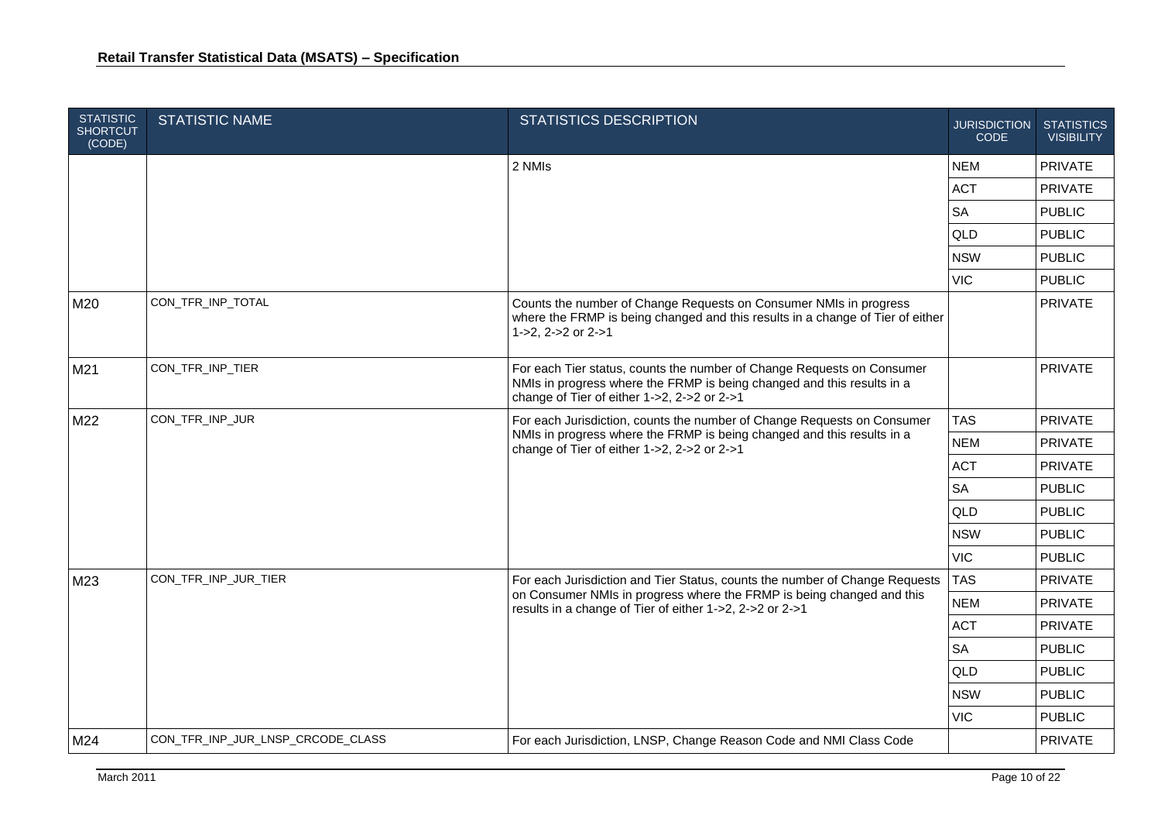| <b>STATISTIC</b><br><b>SHORTCUT</b><br>(CODE) | <b>STATISTIC NAME</b>             | <b>STATISTICS DESCRIPTION</b>                                                                                                                                                                    | <b>JURISDICTION</b><br><b>CODE</b> | <b>STATISTICS</b><br><b>VISIBILITY</b> |
|-----------------------------------------------|-----------------------------------|--------------------------------------------------------------------------------------------------------------------------------------------------------------------------------------------------|------------------------------------|----------------------------------------|
|                                               |                                   | 2 NMIs                                                                                                                                                                                           | <b>NEM</b>                         | <b>PRIVATE</b>                         |
|                                               |                                   |                                                                                                                                                                                                  | <b>ACT</b>                         | PRIVATE                                |
|                                               |                                   |                                                                                                                                                                                                  | <b>SA</b>                          | <b>PUBLIC</b>                          |
|                                               |                                   |                                                                                                                                                                                                  | QLD                                | <b>PUBLIC</b>                          |
|                                               |                                   |                                                                                                                                                                                                  | <b>NSW</b>                         | <b>PUBLIC</b>                          |
|                                               |                                   |                                                                                                                                                                                                  | <b>VIC</b>                         | <b>PUBLIC</b>                          |
| M20                                           | CON_TFR_INP_TOTAL                 | Counts the number of Change Requests on Consumer NMIs in progress<br>where the FRMP is being changed and this results in a change of Tier of either<br>1->2, 2->2 or 2->1                        |                                    | <b>PRIVATE</b>                         |
| M21                                           | CON_TFR_INP_TIER                  | For each Tier status, counts the number of Change Requests on Consumer<br>NMIs in progress where the FRMP is being changed and this results in a<br>change of Tier of either 1->2, 2->2 or 2->1  |                                    | PRIVATE                                |
| M22                                           | CON_TFR_INP_JUR                   | For each Jurisdiction, counts the number of Change Requests on Consumer<br>NMIs in progress where the FRMP is being changed and this results in a<br>change of Tier of either 1->2, 2->2 or 2->1 | <b>TAS</b>                         | <b>PRIVATE</b>                         |
|                                               |                                   |                                                                                                                                                                                                  | <b>NEM</b>                         | <b>PRIVATE</b>                         |
|                                               |                                   |                                                                                                                                                                                                  | <b>ACT</b>                         | <b>PRIVATE</b>                         |
|                                               |                                   |                                                                                                                                                                                                  | <b>SA</b>                          | <b>PUBLIC</b>                          |
|                                               |                                   |                                                                                                                                                                                                  | QLD                                | <b>PUBLIC</b>                          |
|                                               |                                   |                                                                                                                                                                                                  | <b>NSW</b>                         | <b>PUBLIC</b>                          |
|                                               |                                   |                                                                                                                                                                                                  | <b>VIC</b>                         | <b>PUBLIC</b>                          |
| M23                                           | CON_TFR_INP_JUR_TIER              | For each Jurisdiction and Tier Status, counts the number of Change Requests                                                                                                                      | <b>TAS</b>                         | PRIVATE                                |
|                                               |                                   | on Consumer NMIs in progress where the FRMP is being changed and this<br>results in a change of Tier of either 1->2, 2->2 or 2->1                                                                | <b>NEM</b>                         | <b>PRIVATE</b>                         |
|                                               |                                   |                                                                                                                                                                                                  | <b>ACT</b>                         | <b>PRIVATE</b>                         |
|                                               |                                   |                                                                                                                                                                                                  | <b>SA</b>                          | <b>PUBLIC</b>                          |
|                                               |                                   |                                                                                                                                                                                                  | QLD                                | <b>PUBLIC</b>                          |
|                                               |                                   |                                                                                                                                                                                                  | <b>NSW</b>                         | <b>PUBLIC</b>                          |
|                                               |                                   |                                                                                                                                                                                                  | <b>VIC</b>                         | <b>PUBLIC</b>                          |
| M24                                           | CON_TFR_INP_JUR_LNSP_CRCODE_CLASS | For each Jurisdiction, LNSP, Change Reason Code and NMI Class Code                                                                                                                               |                                    | <b>PRIVATE</b>                         |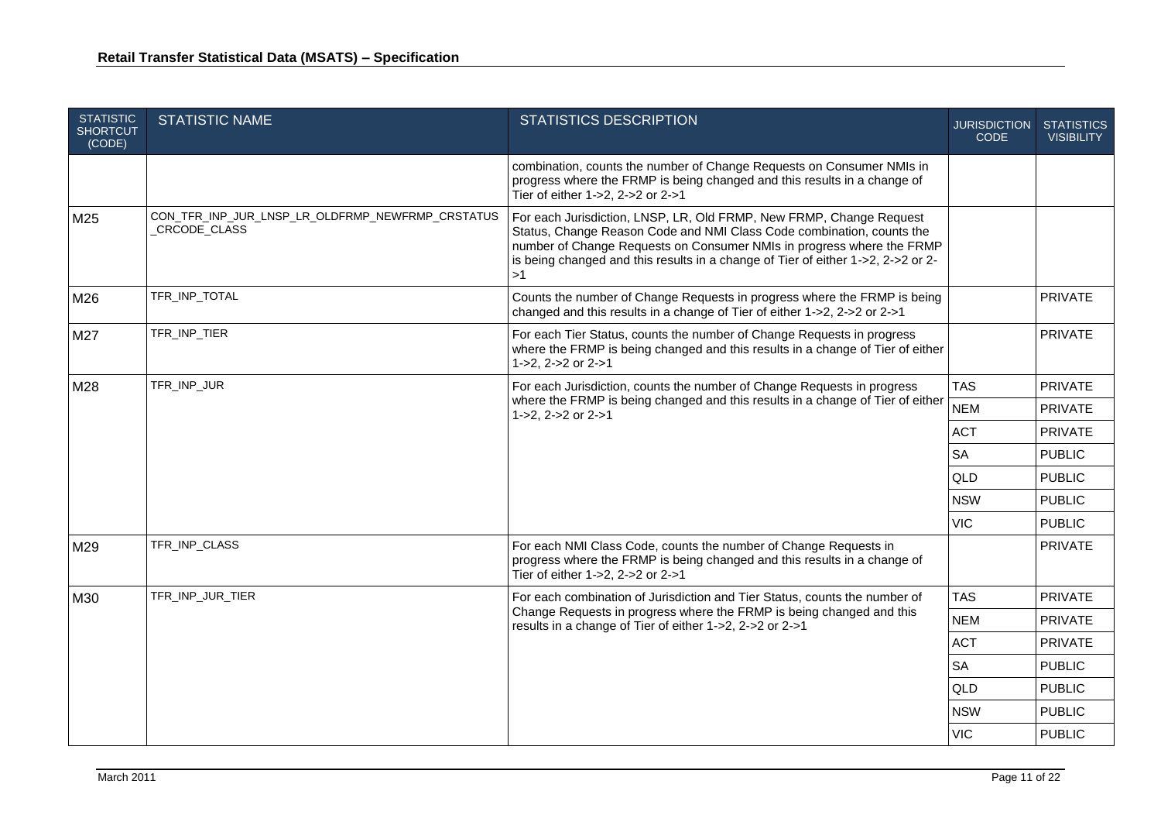| <b>STATISTIC</b><br><b>SHORTCUT</b><br>(CODE) | <b>STATISTIC NAME</b>                                            | <b>STATISTICS DESCRIPTION</b>                                                                                                                                                                                                                                                                                   | <b>JURISDICTION</b><br><b>CODE</b> | <b>STATISTICS</b><br><b>VISIBILITY</b> |
|-----------------------------------------------|------------------------------------------------------------------|-----------------------------------------------------------------------------------------------------------------------------------------------------------------------------------------------------------------------------------------------------------------------------------------------------------------|------------------------------------|----------------------------------------|
|                                               |                                                                  | combination, counts the number of Change Requests on Consumer NMIs in<br>progress where the FRMP is being changed and this results in a change of<br>Tier of either 1->2, 2->2 or 2->1                                                                                                                          |                                    |                                        |
| M25                                           | CON_TFR_INP_JUR_LNSP_LR_OLDFRMP_NEWFRMP_CRSTATUS<br>CRCODE_CLASS | For each Jurisdiction, LNSP, LR, Old FRMP, New FRMP, Change Request<br>Status, Change Reason Code and NMI Class Code combination, counts the<br>number of Change Requests on Consumer NMIs in progress where the FRMP<br>is being changed and this results in a change of Tier of either 1->2, 2->2 or 2-<br>>1 |                                    |                                        |
| M26                                           | TFR_INP_TOTAL                                                    | Counts the number of Change Requests in progress where the FRMP is being<br>changed and this results in a change of Tier of either 1->2, 2->2 or 2->1                                                                                                                                                           |                                    | <b>PRIVATE</b>                         |
| M27                                           | TFR_INP_TIER                                                     | For each Tier Status, counts the number of Change Requests in progress<br>where the FRMP is being changed and this results in a change of Tier of either<br>1->2, 2->2 or 2->1                                                                                                                                  |                                    | PRIVATE                                |
| M28                                           | TFR_INP_JUR                                                      | For each Jurisdiction, counts the number of Change Requests in progress                                                                                                                                                                                                                                         | <b>TAS</b>                         | <b>PRIVATE</b>                         |
|                                               |                                                                  | where the FRMP is being changed and this results in a change of Tier of either<br>1->2, $2 - 2$ or $2 - 1$                                                                                                                                                                                                      | <b>NEM</b>                         | PRIVATE                                |
|                                               |                                                                  |                                                                                                                                                                                                                                                                                                                 | <b>ACT</b>                         | PRIVATE                                |
|                                               |                                                                  |                                                                                                                                                                                                                                                                                                                 | <b>SA</b>                          | <b>PUBLIC</b>                          |
|                                               |                                                                  |                                                                                                                                                                                                                                                                                                                 | <b>QLD</b>                         | <b>PUBLIC</b>                          |
|                                               |                                                                  |                                                                                                                                                                                                                                                                                                                 | <b>NSW</b>                         | <b>PUBLIC</b>                          |
|                                               |                                                                  |                                                                                                                                                                                                                                                                                                                 | <b>VIC</b>                         | <b>PUBLIC</b>                          |
| M29                                           | TFR_INP_CLASS                                                    | For each NMI Class Code, counts the number of Change Requests in<br>progress where the FRMP is being changed and this results in a change of<br>Tier of either 1->2, 2->2 or 2->1                                                                                                                               |                                    | PRIVATE                                |
| M30                                           | TFR_INP_JUR_TIER                                                 | For each combination of Jurisdiction and Tier Status, counts the number of<br>Change Requests in progress where the FRMP is being changed and this<br>results in a change of Tier of either 1->2, 2->2 or 2->1                                                                                                  | <b>TAS</b>                         | PRIVATE                                |
|                                               |                                                                  |                                                                                                                                                                                                                                                                                                                 | <b>NEM</b>                         | PRIVATE                                |
|                                               |                                                                  |                                                                                                                                                                                                                                                                                                                 | <b>ACT</b>                         | <b>PRIVATE</b>                         |
|                                               |                                                                  |                                                                                                                                                                                                                                                                                                                 | <b>SA</b>                          | <b>PUBLIC</b>                          |
|                                               |                                                                  |                                                                                                                                                                                                                                                                                                                 | <b>QLD</b>                         | <b>PUBLIC</b>                          |
|                                               |                                                                  |                                                                                                                                                                                                                                                                                                                 | <b>NSW</b>                         | <b>PUBLIC</b>                          |
|                                               |                                                                  |                                                                                                                                                                                                                                                                                                                 | <b>VIC</b>                         | <b>PUBLIC</b>                          |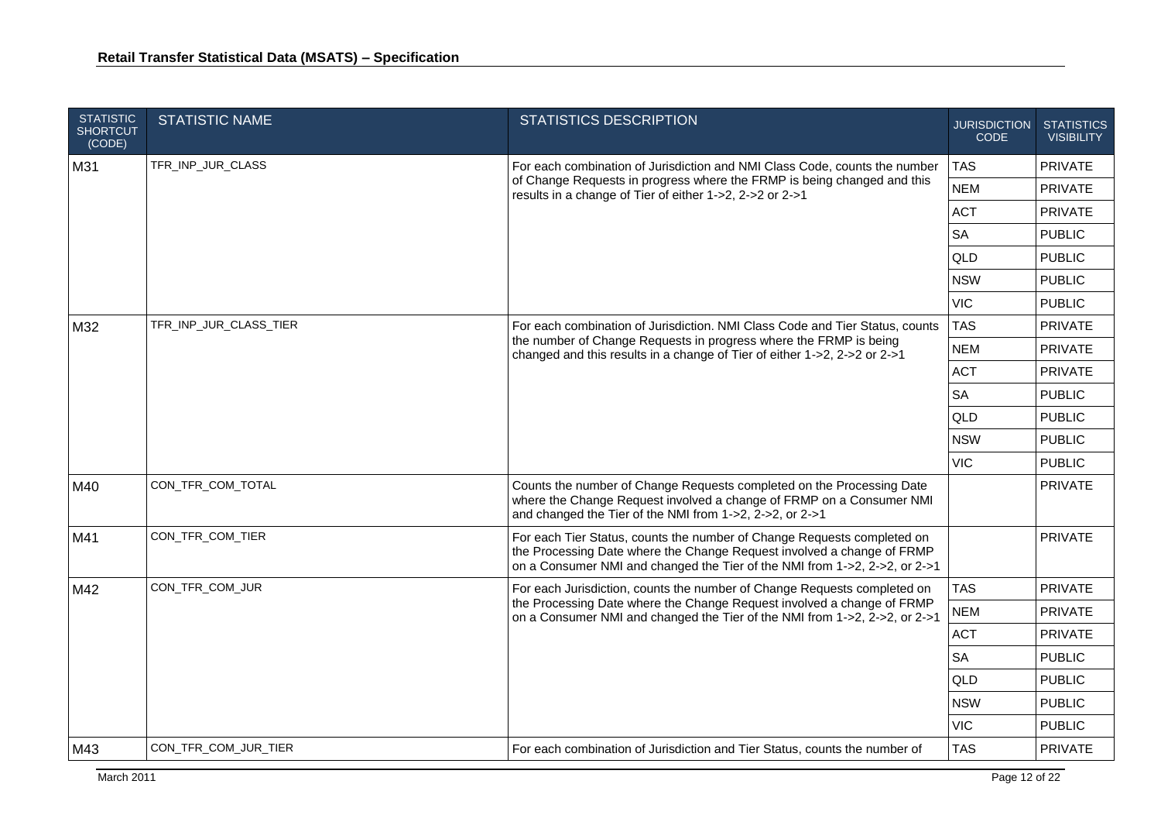| <b>STATISTIC</b><br><b>SHORTCUT</b><br>(CODE) | <b>STATISTIC NAME</b>  | <b>STATISTICS DESCRIPTION</b>                                                                                                                                                                                                    | <b>JURISDICTION</b><br>CODE | <b>STATISTICS</b><br><b>VISIBILITY</b> |
|-----------------------------------------------|------------------------|----------------------------------------------------------------------------------------------------------------------------------------------------------------------------------------------------------------------------------|-----------------------------|----------------------------------------|
| M31                                           | TFR_INP_JUR_CLASS      | For each combination of Jurisdiction and NMI Class Code, counts the number                                                                                                                                                       | <b>TAS</b>                  | PRIVATE                                |
|                                               |                        | of Change Requests in progress where the FRMP is being changed and this<br>results in a change of Tier of either 1->2, 2->2 or 2->1                                                                                              | <b>NEM</b>                  | <b>PRIVATE</b>                         |
|                                               |                        |                                                                                                                                                                                                                                  | <b>ACT</b>                  | <b>PRIVATE</b>                         |
|                                               |                        |                                                                                                                                                                                                                                  | <b>SA</b>                   | <b>PUBLIC</b>                          |
|                                               |                        |                                                                                                                                                                                                                                  | QLD                         | <b>PUBLIC</b>                          |
|                                               |                        |                                                                                                                                                                                                                                  | <b>NSW</b>                  | <b>PUBLIC</b>                          |
|                                               |                        |                                                                                                                                                                                                                                  | <b>VIC</b>                  | <b>PUBLIC</b>                          |
| M32                                           | TFR_INP_JUR_CLASS_TIER | For each combination of Jurisdiction. NMI Class Code and Tier Status, counts                                                                                                                                                     | <b>TAS</b>                  | PRIVATE                                |
|                                               |                        | the number of Change Requests in progress where the FRMP is being<br>changed and this results in a change of Tier of either 1->2, 2->2 or 2->1                                                                                   | <b>NEM</b>                  | <b>PRIVATE</b>                         |
|                                               |                        |                                                                                                                                                                                                                                  | <b>ACT</b>                  | <b>PRIVATE</b>                         |
|                                               |                        |                                                                                                                                                                                                                                  | <b>SA</b>                   | <b>PUBLIC</b>                          |
|                                               |                        |                                                                                                                                                                                                                                  | QLD                         | <b>PUBLIC</b>                          |
|                                               |                        |                                                                                                                                                                                                                                  | <b>NSW</b>                  | <b>PUBLIC</b>                          |
|                                               |                        |                                                                                                                                                                                                                                  | <b>VIC</b>                  | <b>PUBLIC</b>                          |
| M40                                           | CON_TFR_COM_TOTAL      | Counts the number of Change Requests completed on the Processing Date<br>where the Change Request involved a change of FRMP on a Consumer NMI<br>and changed the Tier of the NMI from 1->2, 2->2, or 2->1                        |                             | PRIVATE                                |
| M41                                           | CON_TFR_COM_TIER       | For each Tier Status, counts the number of Change Requests completed on<br>the Processing Date where the Change Request involved a change of FRMP<br>on a Consumer NMI and changed the Tier of the NMI from 1->2, 2->2, or 2->1  |                             | <b>PRIVATE</b>                         |
| M42                                           | CON_TFR_COM_JUR        | For each Jurisdiction, counts the number of Change Requests completed on<br>the Processing Date where the Change Request involved a change of FRMP<br>on a Consumer NMI and changed the Tier of the NMI from 1->2, 2->2, or 2->1 | <b>TAS</b>                  | <b>PRIVATE</b>                         |
|                                               |                        |                                                                                                                                                                                                                                  | <b>NEM</b>                  | <b>PRIVATE</b>                         |
|                                               |                        |                                                                                                                                                                                                                                  | <b>ACT</b>                  | <b>PRIVATE</b>                         |
|                                               |                        |                                                                                                                                                                                                                                  | <b>SA</b>                   | <b>PUBLIC</b>                          |
|                                               |                        |                                                                                                                                                                                                                                  | QLD                         | <b>PUBLIC</b>                          |
|                                               |                        |                                                                                                                                                                                                                                  | <b>NSW</b>                  | <b>PUBLIC</b>                          |
|                                               |                        |                                                                                                                                                                                                                                  | <b>VIC</b>                  | <b>PUBLIC</b>                          |
| M43                                           | CON_TFR_COM_JUR_TIER   | For each combination of Jurisdiction and Tier Status, counts the number of                                                                                                                                                       | <b>TAS</b>                  | PRIVATE                                |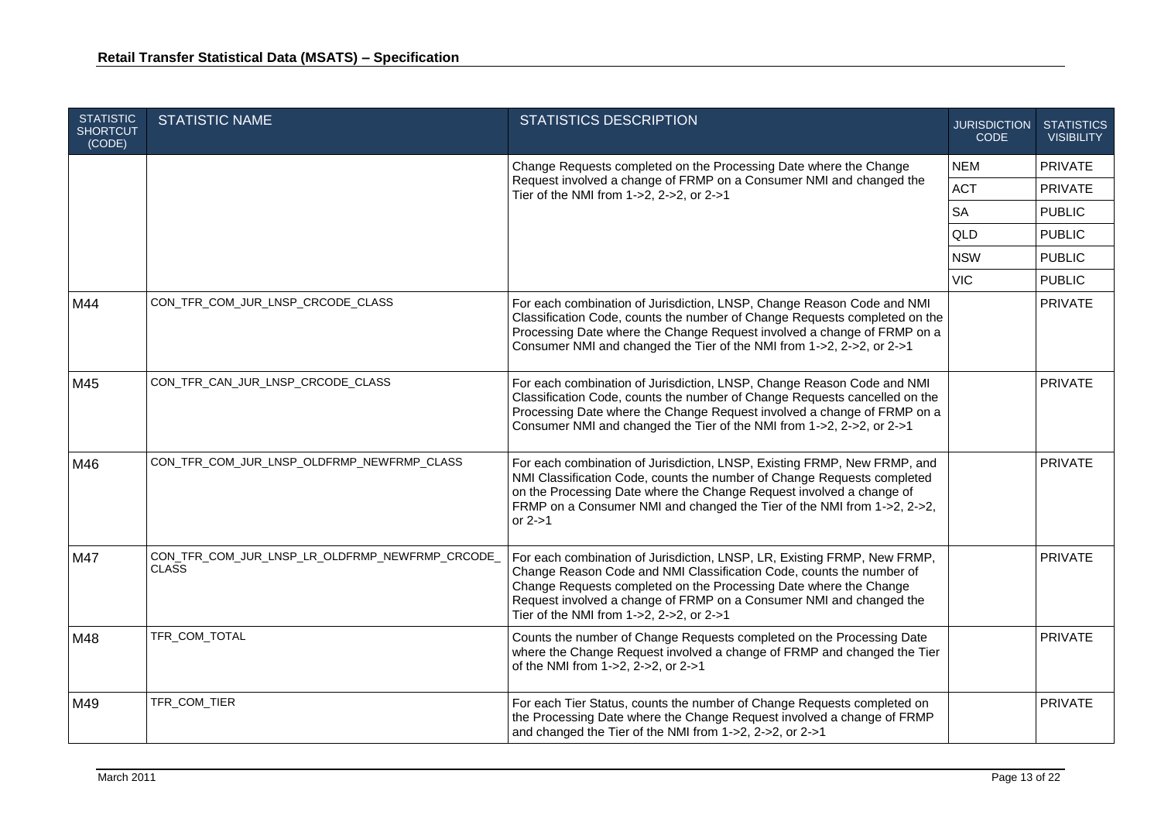| <b>STATISTIC</b><br><b>SHORTCUT</b><br>(CODE) | <b>STATISTIC NAME</b>                                           | <b>STATISTICS DESCRIPTION</b>                                                                                                                                                                                                                                                                                                            | <b>JURISDICTION</b><br><b>CODE</b> | <b>STATISTICS</b><br><b>VISIBILITY</b> |
|-----------------------------------------------|-----------------------------------------------------------------|------------------------------------------------------------------------------------------------------------------------------------------------------------------------------------------------------------------------------------------------------------------------------------------------------------------------------------------|------------------------------------|----------------------------------------|
|                                               |                                                                 | Change Requests completed on the Processing Date where the Change                                                                                                                                                                                                                                                                        | <b>NEM</b>                         | PRIVATE                                |
|                                               |                                                                 | Request involved a change of FRMP on a Consumer NMI and changed the<br>Tier of the NMI from 1->2, 2->2, or 2->1                                                                                                                                                                                                                          | <b>ACT</b>                         | PRIVATE                                |
|                                               |                                                                 |                                                                                                                                                                                                                                                                                                                                          | <b>SA</b>                          | <b>PUBLIC</b>                          |
|                                               |                                                                 |                                                                                                                                                                                                                                                                                                                                          | QLD                                | <b>PUBLIC</b>                          |
|                                               |                                                                 |                                                                                                                                                                                                                                                                                                                                          | <b>NSW</b>                         | <b>PUBLIC</b>                          |
|                                               |                                                                 |                                                                                                                                                                                                                                                                                                                                          | <b>VIC</b>                         | <b>PUBLIC</b>                          |
| M44                                           | CON_TFR_COM_JUR_LNSP_CRCODE_CLASS                               | For each combination of Jurisdiction, LNSP, Change Reason Code and NMI<br>Classification Code, counts the number of Change Requests completed on the<br>Processing Date where the Change Request involved a change of FRMP on a<br>Consumer NMI and changed the Tier of the NMI from 1->2, 2->2, or 2->1                                 |                                    | PRIVATE                                |
| M45                                           | CON_TFR_CAN_JUR_LNSP_CRCODE_CLASS                               | For each combination of Jurisdiction, LNSP, Change Reason Code and NMI<br>Classification Code, counts the number of Change Requests cancelled on the<br>Processing Date where the Change Request involved a change of FRMP on a<br>Consumer NMI and changed the Tier of the NMI from 1->2, 2->2, or 2->1                                 |                                    | PRIVATE                                |
| M46                                           | CON_TFR_COM_JUR_LNSP_OLDFRMP_NEWFRMP_CLASS                      | For each combination of Jurisdiction, LNSP, Existing FRMP, New FRMP, and<br>NMI Classification Code, counts the number of Change Requests completed<br>on the Processing Date where the Change Request involved a change of<br>FRMP on a Consumer NMI and changed the Tier of the NMI from 1->2, 2->2,<br>or $2 - > 1$                   |                                    | PRIVATE                                |
| M47                                           | CON_TFR_COM_JUR_LNSP_LR_OLDFRMP_NEWFRMP_CRCODE_<br><b>CLASS</b> | For each combination of Jurisdiction, LNSP, LR, Existing FRMP, New FRMP,<br>Change Reason Code and NMI Classification Code, counts the number of<br>Change Requests completed on the Processing Date where the Change<br>Request involved a change of FRMP on a Consumer NMI and changed the<br>Tier of the NMI from 1->2, 2->2, or 2->1 |                                    | PRIVATE                                |
| M48                                           | TFR COM TOTAL                                                   | Counts the number of Change Requests completed on the Processing Date<br>where the Change Request involved a change of FRMP and changed the Tier<br>of the NMI from 1->2, 2->2, or 2->1                                                                                                                                                  |                                    | PRIVATE                                |
| M49                                           | TFR_COM_TIER                                                    | For each Tier Status, counts the number of Change Requests completed on<br>the Processing Date where the Change Request involved a change of FRMP<br>and changed the Tier of the NMI from 1->2, 2->2, or 2->1                                                                                                                            |                                    | <b>PRIVATE</b>                         |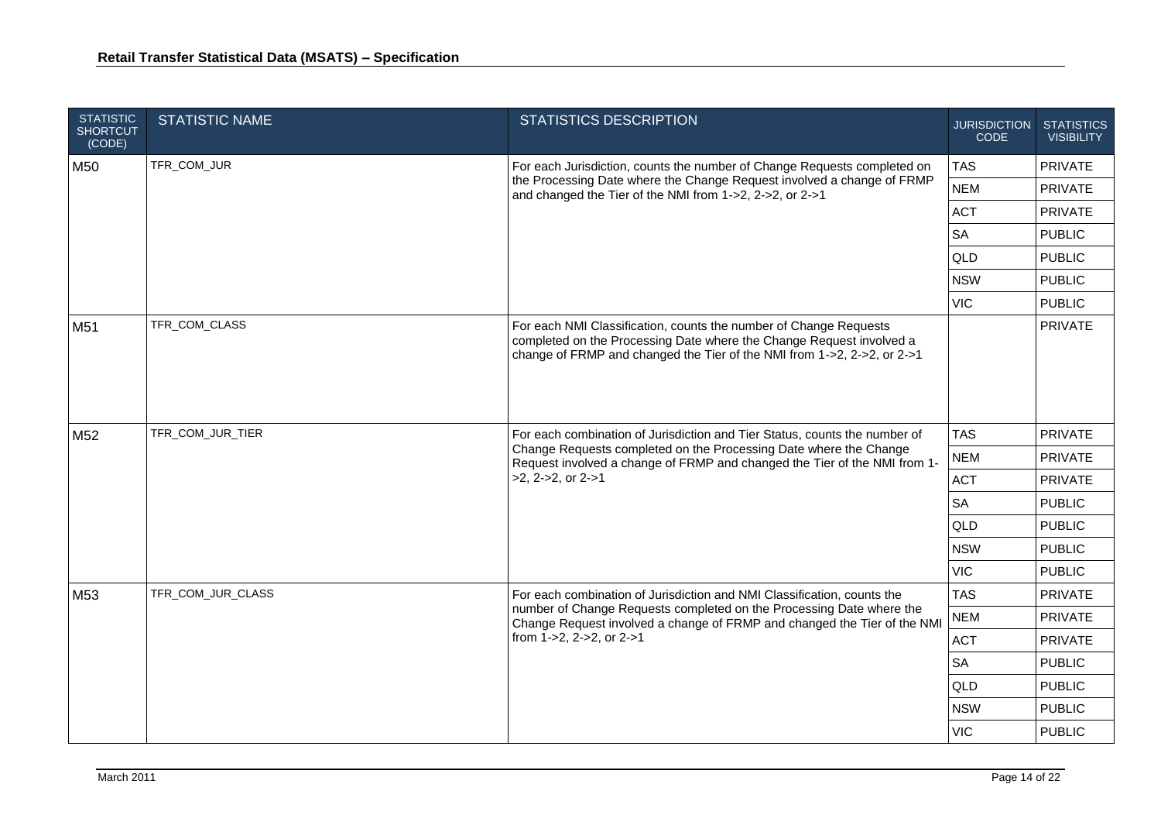| <b>STATISTIC</b><br><b>SHORTCUT</b><br>(CODE) | <b>STATISTIC NAME</b> | <b>STATISTICS DESCRIPTION</b>                                                                                                                                                                                                                               | <b>JURISDICTION</b><br><b>CODE</b> | <b>STATISTICS</b><br><b>VISIBILITY</b> |
|-----------------------------------------------|-----------------------|-------------------------------------------------------------------------------------------------------------------------------------------------------------------------------------------------------------------------------------------------------------|------------------------------------|----------------------------------------|
| M50                                           | TFR_COM_JUR           | For each Jurisdiction, counts the number of Change Requests completed on                                                                                                                                                                                    | <b>TAS</b>                         | <b>PRIVATE</b>                         |
|                                               |                       | the Processing Date where the Change Request involved a change of FRMP<br>and changed the Tier of the NMI from 1->2, 2->2, or 2->1                                                                                                                          | <b>NEM</b>                         | <b>PRIVATE</b>                         |
|                                               |                       |                                                                                                                                                                                                                                                             | <b>ACT</b>                         | PRIVATE                                |
|                                               |                       |                                                                                                                                                                                                                                                             | <b>SA</b>                          | <b>PUBLIC</b>                          |
|                                               |                       |                                                                                                                                                                                                                                                             | QLD                                | <b>PUBLIC</b>                          |
|                                               |                       |                                                                                                                                                                                                                                                             | <b>NSW</b>                         | <b>PUBLIC</b>                          |
|                                               |                       |                                                                                                                                                                                                                                                             | <b>VIC</b>                         | <b>PUBLIC</b>                          |
| M51                                           | TFR_COM_CLASS         | For each NMI Classification, counts the number of Change Requests<br>completed on the Processing Date where the Change Request involved a<br>change of FRMP and changed the Tier of the NMI from 1->2, 2->2, or 2->1                                        |                                    | PRIVATE                                |
| M52                                           | TFR_COM_JUR_TIER      | For each combination of Jurisdiction and Tier Status, counts the number of<br>Change Requests completed on the Processing Date where the Change<br>Request involved a change of FRMP and changed the Tier of the NMI from 1-<br>$>2$ , 2- $>2$ , or 2- $>1$ | <b>TAS</b>                         | <b>PRIVATE</b>                         |
|                                               |                       |                                                                                                                                                                                                                                                             | <b>NEM</b>                         | <b>PRIVATE</b>                         |
|                                               |                       |                                                                                                                                                                                                                                                             | <b>ACT</b>                         | <b>PRIVATE</b>                         |
|                                               |                       |                                                                                                                                                                                                                                                             | <b>SA</b>                          | <b>PUBLIC</b>                          |
|                                               |                       |                                                                                                                                                                                                                                                             | <b>QLD</b>                         | <b>PUBLIC</b>                          |
|                                               |                       |                                                                                                                                                                                                                                                             | <b>NSW</b>                         | <b>PUBLIC</b>                          |
|                                               |                       |                                                                                                                                                                                                                                                             | <b>VIC</b>                         | <b>PUBLIC</b>                          |
| M53                                           | TFR_COM_JUR_CLASS     | For each combination of Jurisdiction and NMI Classification, counts the                                                                                                                                                                                     | <b>TAS</b>                         | <b>PRIVATE</b>                         |
|                                               |                       | number of Change Requests completed on the Processing Date where the<br>Change Request involved a change of FRMP and changed the Tier of the NMI                                                                                                            | <b>NEM</b>                         | <b>PRIVATE</b>                         |
|                                               |                       | from $1 - 2$ , $2 - 2$ , or $2 - 1$                                                                                                                                                                                                                         | <b>ACT</b>                         | <b>PRIVATE</b>                         |
|                                               |                       |                                                                                                                                                                                                                                                             | <b>SA</b>                          | <b>PUBLIC</b>                          |
|                                               |                       |                                                                                                                                                                                                                                                             | <b>QLD</b>                         | <b>PUBLIC</b>                          |
|                                               |                       |                                                                                                                                                                                                                                                             | <b>NSW</b>                         | <b>PUBLIC</b>                          |
|                                               |                       |                                                                                                                                                                                                                                                             | <b>VIC</b>                         | <b>PUBLIC</b>                          |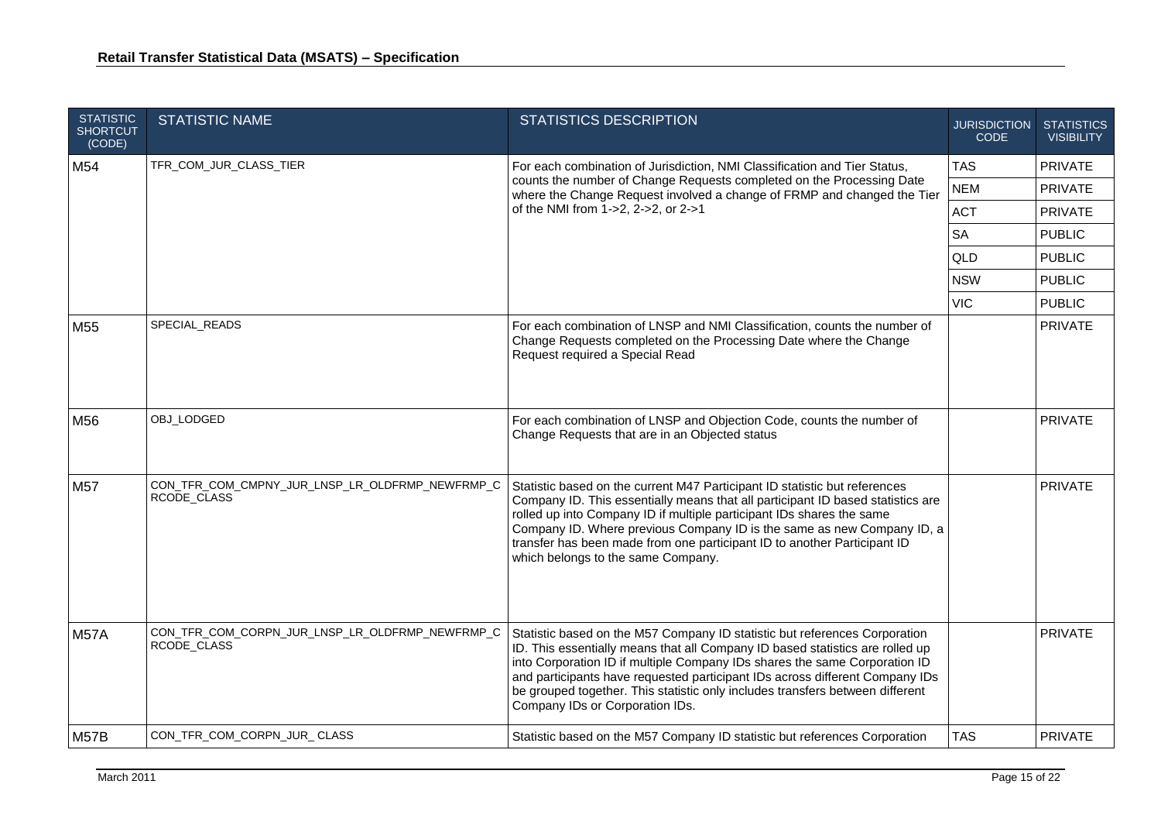| <b>STATISTIC</b><br><b>SHORTCUT</b><br>(CODE) | <b>STATISTIC NAME</b>                                          | <b>STATISTICS DESCRIPTION</b>                                                                                                                                                                                                                                                                                                                                                                                                                 | <b>JURISDICTION</b><br><b>CODE</b> | <b>STATISTICS</b><br><b>VISIBILITY</b> |
|-----------------------------------------------|----------------------------------------------------------------|-----------------------------------------------------------------------------------------------------------------------------------------------------------------------------------------------------------------------------------------------------------------------------------------------------------------------------------------------------------------------------------------------------------------------------------------------|------------------------------------|----------------------------------------|
| M54                                           | TFR_COM_JUR_CLASS_TIER                                         | For each combination of Jurisdiction, NMI Classification and Tier Status,                                                                                                                                                                                                                                                                                                                                                                     | <b>TAS</b>                         | <b>PRIVATE</b>                         |
|                                               |                                                                | counts the number of Change Requests completed on the Processing Date<br>where the Change Request involved a change of FRMP and changed the Tier                                                                                                                                                                                                                                                                                              | <b>NEM</b>                         | PRIVATE                                |
|                                               |                                                                | of the NMI from 1->2, 2->2, or 2->1                                                                                                                                                                                                                                                                                                                                                                                                           | <b>ACT</b>                         | <b>PRIVATE</b>                         |
|                                               |                                                                |                                                                                                                                                                                                                                                                                                                                                                                                                                               | <b>SA</b>                          | <b>PUBLIC</b>                          |
|                                               |                                                                |                                                                                                                                                                                                                                                                                                                                                                                                                                               | QLD                                | <b>PUBLIC</b>                          |
|                                               |                                                                |                                                                                                                                                                                                                                                                                                                                                                                                                                               | <b>NSW</b>                         | <b>PUBLIC</b>                          |
|                                               |                                                                |                                                                                                                                                                                                                                                                                                                                                                                                                                               | <b>VIC</b>                         | <b>PUBLIC</b>                          |
| M55                                           | SPECIAL_READS                                                  | For each combination of LNSP and NMI Classification, counts the number of<br>Change Requests completed on the Processing Date where the Change<br>Request required a Special Read                                                                                                                                                                                                                                                             |                                    | PRIVATE                                |
| M56                                           | OBJ_LODGED                                                     | For each combination of LNSP and Objection Code, counts the number of<br>Change Requests that are in an Objected status                                                                                                                                                                                                                                                                                                                       |                                    | <b>PRIVATE</b>                         |
| M57                                           | CON_TFR_COM_CMPNY_JUR_LNSP_LR_OLDFRMP_NEWFRMP_C<br>RCODE_CLASS | Statistic based on the current M47 Participant ID statistic but references<br>Company ID. This essentially means that all participant ID based statistics are<br>rolled up into Company ID if multiple participant IDs shares the same<br>Company ID. Where previous Company ID is the same as new Company ID, a<br>transfer has been made from one participant ID to another Participant ID<br>which belongs to the same Company.            |                                    | <b>PRIVATE</b>                         |
| <b>M57A</b>                                   | CON_TFR_COM_CORPN_JUR_LNSP_LR_OLDFRMP_NEWFRMP_C<br>RCODE_CLASS | Statistic based on the M57 Company ID statistic but references Corporation<br>ID. This essentially means that all Company ID based statistics are rolled up<br>into Corporation ID if multiple Company IDs shares the same Corporation ID<br>and participants have requested participant IDs across different Company IDs<br>be grouped together. This statistic only includes transfers between different<br>Company IDs or Corporation IDs. |                                    | <b>PRIVATE</b>                         |
| M57B                                          | CON_TFR_COM_CORPN_JUR_CLASS                                    | Statistic based on the M57 Company ID statistic but references Corporation                                                                                                                                                                                                                                                                                                                                                                    | <b>TAS</b>                         | <b>PRIVATE</b>                         |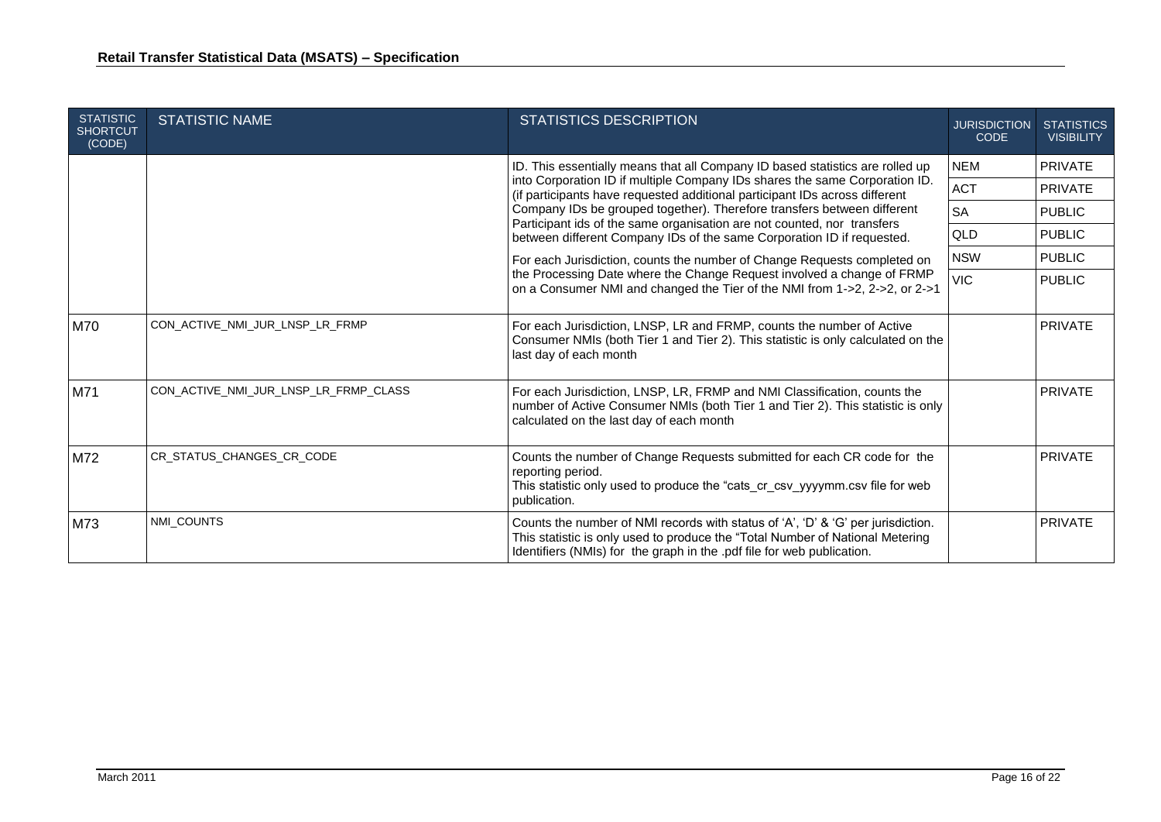| <b>STATISTIC</b><br><b>SHORTCUT</b><br>(CODE) | <b>STATISTIC NAME</b>                                                                                                                                                                                                                                                                                       | <b>STATISTICS DESCRIPTION</b>                                                                                                                                                                                                               | <b>JURISDICTION</b><br><b>CODE</b> | <b>STATISTICS</b><br><b>VISIBILITY</b> |
|-----------------------------------------------|-------------------------------------------------------------------------------------------------------------------------------------------------------------------------------------------------------------------------------------------------------------------------------------------------------------|---------------------------------------------------------------------------------------------------------------------------------------------------------------------------------------------------------------------------------------------|------------------------------------|----------------------------------------|
|                                               |                                                                                                                                                                                                                                                                                                             | ID. This essentially means that all Company ID based statistics are rolled up                                                                                                                                                               |                                    | <b>PRIVATE</b>                         |
|                                               | (if participants have requested additional participant IDs across different<br>Company IDs be grouped together). Therefore transfers between different<br>Participant ids of the same organisation are not counted, nor transfers<br>between different Company IDs of the same Corporation ID if requested. | into Corporation ID if multiple Company IDs shares the same Corporation ID.                                                                                                                                                                 | ACT                                | PRIVATE                                |
|                                               |                                                                                                                                                                                                                                                                                                             |                                                                                                                                                                                                                                             | <b>SA</b>                          | <b>PUBLIC</b>                          |
|                                               |                                                                                                                                                                                                                                                                                                             |                                                                                                                                                                                                                                             | QLD                                | <b>PUBLIC</b>                          |
|                                               | For each Jurisdiction, counts the number of Change Requests completed on                                                                                                                                                                                                                                    | <b>NSW</b>                                                                                                                                                                                                                                  | <b>PUBLIC</b>                      |                                        |
|                                               | the Processing Date where the Change Request involved a change of FRMP<br>on a Consumer NMI and changed the Tier of the NMI from 1->2, 2->2, or 2->1                                                                                                                                                        |                                                                                                                                                                                                                                             | <b>VIC</b>                         | <b>PUBLIC</b>                          |
| M70                                           | CON ACTIVE NMI JUR LNSP LR FRMP                                                                                                                                                                                                                                                                             | For each Jurisdiction, LNSP, LR and FRMP, counts the number of Active<br>Consumer NMIs (both Tier 1 and Tier 2). This statistic is only calculated on the<br>last day of each month                                                         |                                    | PRIVATE                                |
| M71                                           | CON_ACTIVE_NMI_JUR_LNSP_LR_FRMP_CLASS                                                                                                                                                                                                                                                                       | For each Jurisdiction, LNSP, LR, FRMP and NMI Classification, counts the<br>number of Active Consumer NMIs (both Tier 1 and Tier 2). This statistic is only<br>calculated on the last day of each month                                     |                                    | <b>PRIVATE</b>                         |
| M72                                           | CR STATUS CHANGES CR CODE                                                                                                                                                                                                                                                                                   | Counts the number of Change Requests submitted for each CR code for the<br>reporting period.<br>This statistic only used to produce the "cats_cr_csv_yyyymm.csv file for web<br>publication.                                                |                                    | <b>PRIVATE</b>                         |
| M73                                           | NMI COUNTS                                                                                                                                                                                                                                                                                                  | Counts the number of NMI records with status of 'A', 'D' & 'G' per jurisdiction.<br>This statistic is only used to produce the "Total Number of National Metering<br>Identifiers (NMIs) for the graph in the .pdf file for web publication. |                                    | <b>PRIVATE</b>                         |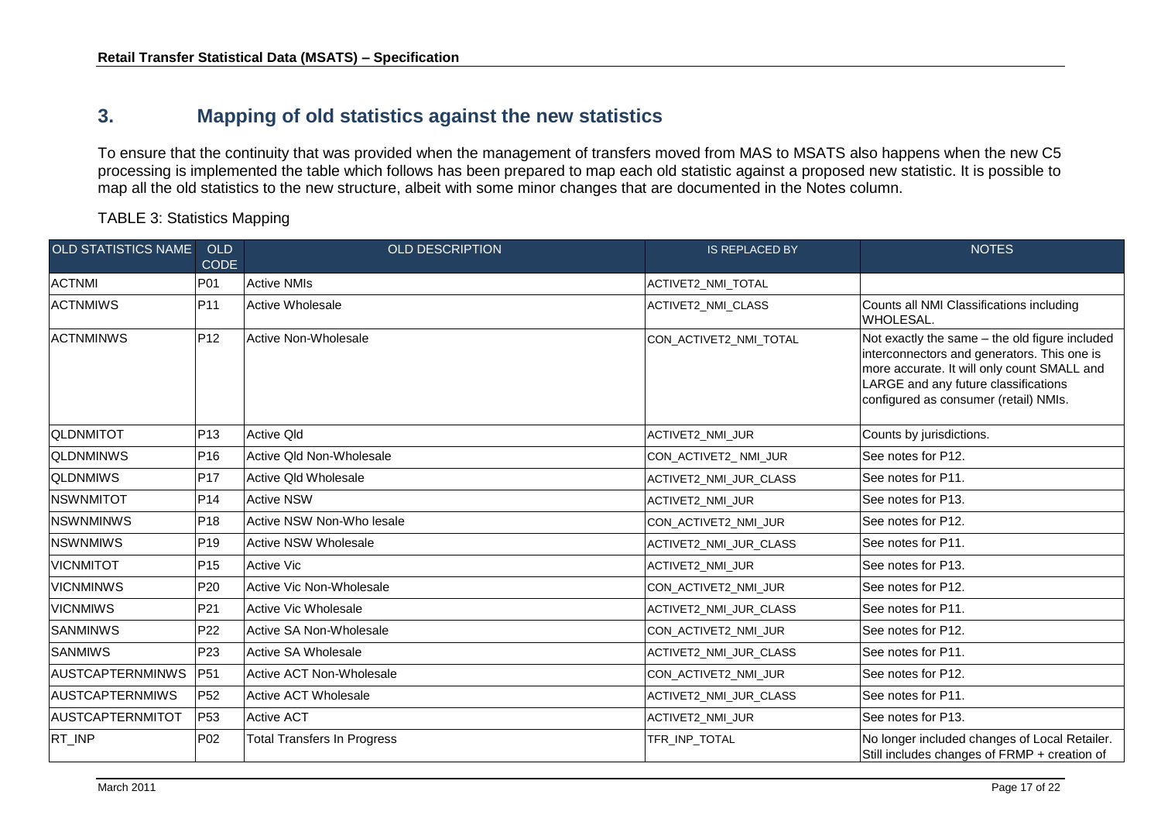### **3. Mapping of old statistics against the new statistics**

To ensure that the continuity that was provided when the management of transfers moved from MAS to MSATS also happens when the new C5 processing is implemented the table which follows has been prepared to map each old statistic against a proposed new statistic. It is possible to map all the old statistics to the new structure, albeit with some minor changes that are documented in the Notes column.

TABLE 3: Statistics Mapping

<span id="page-16-0"></span>

| <b>OLD STATISTICS NAME</b> | <b>OLD</b><br><b>CODE</b> | <b>OLD DESCRIPTION</b>             | <b>IS REPLACED BY</b>         | <b>NOTES</b>                                                                                                                                                                                                                  |
|----------------------------|---------------------------|------------------------------------|-------------------------------|-------------------------------------------------------------------------------------------------------------------------------------------------------------------------------------------------------------------------------|
| <b>ACTNMI</b>              | P01                       | <b>Active NMIs</b>                 | ACTIVET2_NMI_TOTAL            |                                                                                                                                                                                                                               |
| <b>ACTNMIWS</b>            | P <sub>11</sub>           | <b>Active Wholesale</b>            | ACTIVET2_NMI_CLASS            | Counts all NMI Classifications including<br>WHOLESAL.                                                                                                                                                                         |
| <b>ACTNMINWS</b>           | P <sub>12</sub>           | Active Non-Wholesale               | CON_ACTIVET2_NMI_TOTAL        | Not exactly the same - the old figure included<br>interconnectors and generators. This one is<br>more accurate. It will only count SMALL and<br>LARGE and any future classifications<br>configured as consumer (retail) NMIs. |
| <b>QLDNMITOT</b>           | P <sub>13</sub>           | <b>Active Qld</b>                  | ACTIVET2_NMI_JUR              | Counts by jurisdictions.                                                                                                                                                                                                      |
| <b>QLDNMINWS</b>           | P <sub>16</sub>           | Active Qld Non-Wholesale           | CON ACTIVET2 NMI JUR          | See notes for P12.                                                                                                                                                                                                            |
| <b>QLDNMIWS</b>            | <b>P17</b>                | Active Old Wholesale               | ACTIVET2 NMI JUR CLASS        | See notes for P11.                                                                                                                                                                                                            |
| <b>NSWNMITOT</b>           | P14                       | <b>Active NSW</b>                  | <b>ACTIVET2 NMI JUR</b>       | See notes for P13.                                                                                                                                                                                                            |
| <b>NSWNMINWS</b>           | P <sub>18</sub>           | Active NSW Non-Who lesale          | CON ACTIVET2 NMI JUR          | See notes for P12.                                                                                                                                                                                                            |
| <b>NSWNMIWS</b>            | P <sub>19</sub>           | Active NSW Wholesale               | <b>ACTIVET2 NMI JUR CLASS</b> | See notes for P11.                                                                                                                                                                                                            |
| <b>VICNMITOT</b>           | P <sub>15</sub>           | <b>Active Vic</b>                  | ACTIVET2_NMI_JUR              | See notes for P13.                                                                                                                                                                                                            |
| <b>VICNMINWS</b>           | P <sub>20</sub>           | Active Vic Non-Wholesale           | CON_ACTIVET2_NMI_JUR          | See notes for P12.                                                                                                                                                                                                            |
| <b>VICNMIWS</b>            | P21                       | <b>Active Vic Wholesale</b>        | ACTIVET2_NMI_JUR_CLASS        | See notes for P11.                                                                                                                                                                                                            |
| <b>SANMINWS</b>            | P22                       | Active SA Non-Wholesale            | CON_ACTIVET2_NMI_JUR          | See notes for P12.                                                                                                                                                                                                            |
| <b>ISANMIWS</b>            | P <sub>23</sub>           | Active SA Wholesale                | ACTIVET2_NMI_JUR_CLASS        | See notes for P11.                                                                                                                                                                                                            |
| <b>AUSTCAPTERNMINWS</b>    | P51                       | Active ACT Non-Wholesale           | CON_ACTIVET2_NMI_JUR          | See notes for P12.                                                                                                                                                                                                            |
| <b>AUSTCAPTERNMIWS</b>     | P <sub>52</sub>           | <b>Active ACT Wholesale</b>        | <b>ACTIVET2 NMI JUR CLASS</b> | See notes for P11.                                                                                                                                                                                                            |
| AUSTCAPTERNMITOT           | P <sub>53</sub>           | <b>Active ACT</b>                  | ACTIVET2_NMI_JUR              | See notes for P13.                                                                                                                                                                                                            |
| RT_INP                     | P <sub>02</sub>           | <b>Total Transfers In Progress</b> | TFR_INP_TOTAL                 | No longer included changes of Local Retailer.<br>Still includes changes of FRMP + creation of                                                                                                                                 |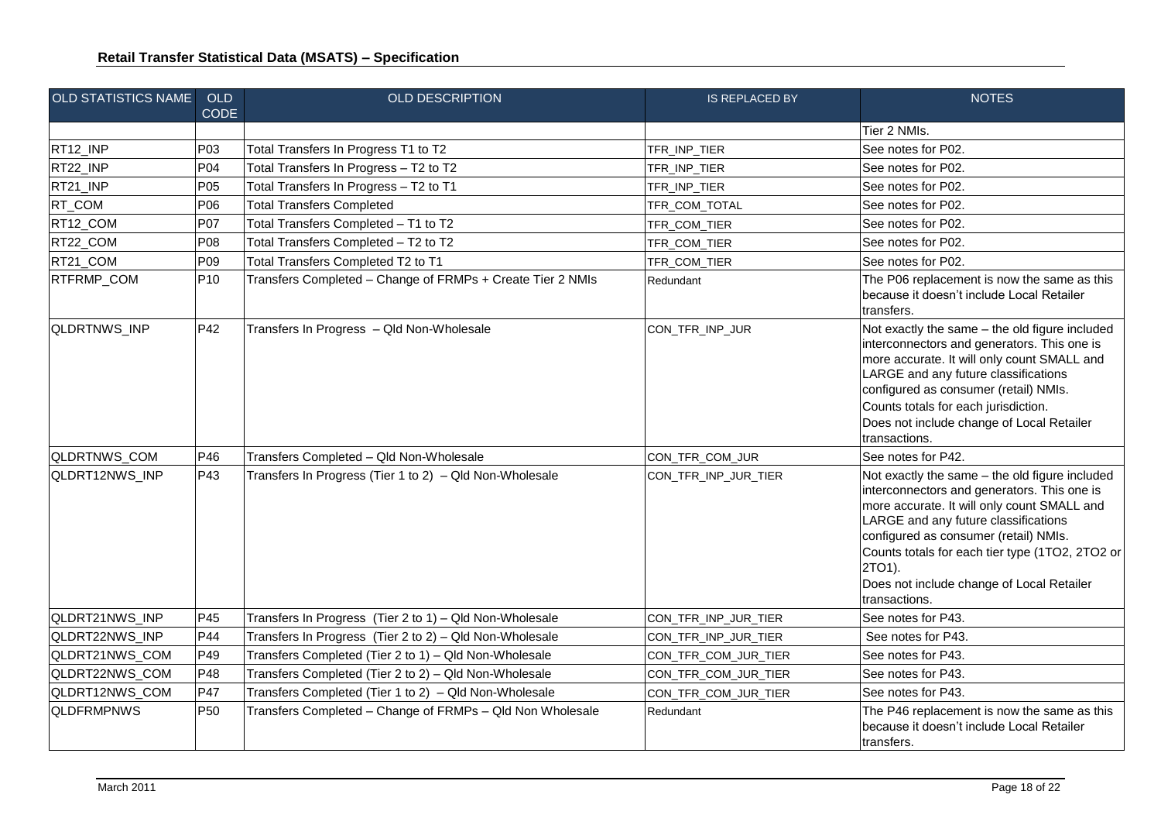| <b>OLD STATISTICS NAME</b> | <b>OLD</b><br><b>CODE</b> | <b>OLD DESCRIPTION</b>                                     | <b>IS REPLACED BY</b> | <b>NOTES</b>                                                                                                                                                                                                                                                                                                                                             |
|----------------------------|---------------------------|------------------------------------------------------------|-----------------------|----------------------------------------------------------------------------------------------------------------------------------------------------------------------------------------------------------------------------------------------------------------------------------------------------------------------------------------------------------|
|                            |                           |                                                            |                       | Tier 2 NMIs.                                                                                                                                                                                                                                                                                                                                             |
| RT12_INP                   | P03                       | Total Transfers In Progress T1 to T2                       | TFR_INP_TIER          | See notes for P02.                                                                                                                                                                                                                                                                                                                                       |
| RT22_INP                   | P <sub>04</sub>           | Total Transfers In Progress - T2 to T2                     | TFR_INP_TIER          | See notes for P02.                                                                                                                                                                                                                                                                                                                                       |
| RT21_INP                   | <b>P05</b>                | Total Transfers In Progress - T2 to T1                     | TFR_INP_TIER          | See notes for P02.                                                                                                                                                                                                                                                                                                                                       |
| RT_COM                     | P06                       | <b>Total Transfers Completed</b>                           | TFR_COM_TOTAL         | See notes for P02.                                                                                                                                                                                                                                                                                                                                       |
| RT12_COM                   | P07                       | Total Transfers Completed - T1 to T2                       | TFR_COM_TIER          | See notes for P02.                                                                                                                                                                                                                                                                                                                                       |
| RT22_COM                   | <b>P08</b>                | Total Transfers Completed - T2 to T2                       | TFR_COM_TIER          | See notes for P02.                                                                                                                                                                                                                                                                                                                                       |
| RT21_COM                   | P09                       | Total Transfers Completed T2 to T1                         | TFR_COM_TIER          | See notes for P02.                                                                                                                                                                                                                                                                                                                                       |
| RTFRMP_COM                 | P <sub>10</sub>           | Transfers Completed - Change of FRMPs + Create Tier 2 NMIs | Redundant             | The P06 replacement is now the same as this<br>because it doesn't include Local Retailer<br>transfers.                                                                                                                                                                                                                                                   |
| QLDRTNWS_INP               | P42                       | Transfers In Progress - Qld Non-Wholesale                  | CON_TFR_INP_JUR       | Not exactly the same - the old figure included<br>interconnectors and generators. This one is<br>more accurate. It will only count SMALL and<br>LARGE and any future classifications<br>configured as consumer (retail) NMIs.<br>Counts totals for each jurisdiction.<br>Does not include change of Local Retailer<br>transactions.                      |
| QLDRTNWS_COM               | P46                       | Transfers Completed - Qld Non-Wholesale                    | CON_TFR_COM_JUR       | See notes for P42.                                                                                                                                                                                                                                                                                                                                       |
| QLDRT12NWS_INP             | P43                       | Transfers In Progress (Tier 1 to 2) - Qld Non-Wholesale    | CON_TFR_INP_JUR_TIER  | Not exactly the same - the old figure included<br>interconnectors and generators. This one is<br>more accurate. It will only count SMALL and<br>LARGE and any future classifications<br>configured as consumer (retail) NMIs.<br>Counts totals for each tier type (1TO2, 2TO2 or<br>2TO1).<br>Does not include change of Local Retailer<br>transactions. |
| QLDRT21NWS_INP             | P45                       | Transfers In Progress (Tier 2 to 1) - Qld Non-Wholesale    | CON_TFR_INP_JUR_TIER  | See notes for P43.                                                                                                                                                                                                                                                                                                                                       |
| QLDRT22NWS_INP             | P44                       | Transfers In Progress (Tier 2 to 2) - Qld Non-Wholesale    | CON_TFR_INP_JUR_TIER  | See notes for P43.                                                                                                                                                                                                                                                                                                                                       |
| QLDRT21NWS_COM             | P49                       | Transfers Completed (Tier 2 to 1) - Qld Non-Wholesale      | CON_TFR_COM_JUR_TIER  | See notes for P43.                                                                                                                                                                                                                                                                                                                                       |
| QLDRT22NWS_COM             | P48                       | Transfers Completed (Tier 2 to 2) - Qld Non-Wholesale      | CON_TFR_COM_JUR_TIER  | See notes for P43.                                                                                                                                                                                                                                                                                                                                       |
| QLDRT12NWS_COM             | P47                       | Transfers Completed (Tier 1 to 2) - Qld Non-Wholesale      | CON_TFR_COM_JUR_TIER  | See notes for P43.                                                                                                                                                                                                                                                                                                                                       |
| <b>QLDFRMPNWS</b>          | <b>P50</b>                | Transfers Completed - Change of FRMPs - Qld Non Wholesale  | Redundant             | The P46 replacement is now the same as this<br>because it doesn't include Local Retailer<br>transfers.                                                                                                                                                                                                                                                   |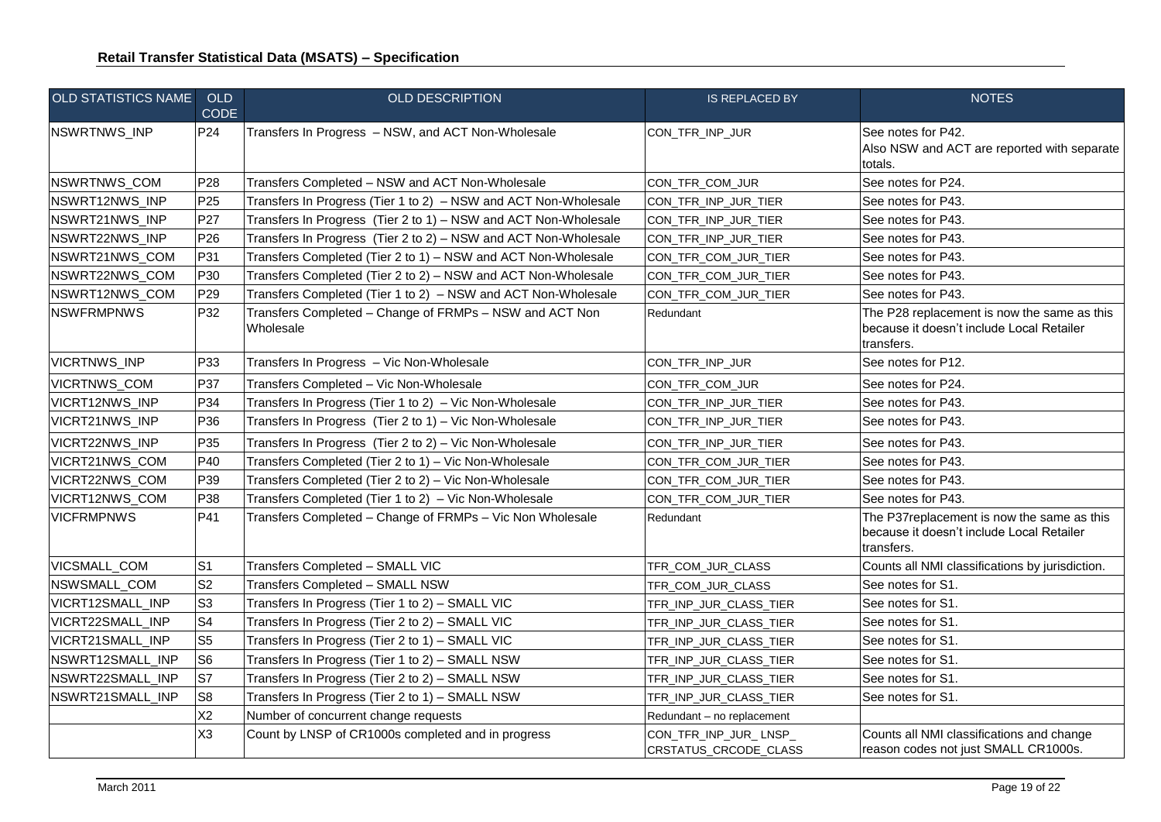| <b>OLD STATISTICS NAME</b> | OLD<br>CODE     | <b>OLD DESCRIPTION</b>                                               | <b>IS REPLACED BY</b>                          | <b>NOTES</b>                                                                                           |
|----------------------------|-----------------|----------------------------------------------------------------------|------------------------------------------------|--------------------------------------------------------------------------------------------------------|
| NSWRTNWS_INP               | P <sub>24</sub> | Transfers In Progress - NSW, and ACT Non-Wholesale                   | CON_TFR_INP_JUR                                | See notes for P42.<br>Also NSW and ACT are reported with separate<br>totals.                           |
| NSWRTNWS_COM               | P28             | Transfers Completed - NSW and ACT Non-Wholesale                      | CON_TFR_COM_JUR                                | See notes for P24.                                                                                     |
| NSWRT12NWS_INP             | P <sub>25</sub> | Transfers In Progress (Tier 1 to 2) - NSW and ACT Non-Wholesale      | CON_TFR_INP_JUR_TIER                           | See notes for P43.                                                                                     |
| NSWRT21NWS_INP             | P27             | Transfers In Progress (Tier 2 to 1) - NSW and ACT Non-Wholesale      | CON_TFR_INP_JUR_TIER                           | See notes for P43.                                                                                     |
| NSWRT22NWS_INP             | P <sub>26</sub> | Transfers In Progress (Tier 2 to 2) - NSW and ACT Non-Wholesale      | CON_TFR_INP_JUR_TIER                           | See notes for P43.                                                                                     |
| NSWRT21NWS_COM             | P31             | Transfers Completed (Tier 2 to 1) - NSW and ACT Non-Wholesale        | CON_TFR_COM_JUR_TIER                           | See notes for P43.                                                                                     |
| NSWRT22NWS_COM             | P30             | Transfers Completed (Tier 2 to 2) - NSW and ACT Non-Wholesale        | CON_TFR_COM_JUR_TIER                           | See notes for P43.                                                                                     |
| NSWRT12NWS_COM             | P <sub>29</sub> | Transfers Completed (Tier 1 to 2) - NSW and ACT Non-Wholesale        | CON_TFR_COM_JUR_TIER                           | See notes for P43.                                                                                     |
| <b>INSWFRMPNWS</b>         | P32             | Transfers Completed - Change of FRMPs - NSW and ACT Non<br>Wholesale | Redundant                                      | The P28 replacement is now the same as this<br>because it doesn't include Local Retailer<br>transfers. |
| VICRTNWS_INP               | P33             | Transfers In Progress - Vic Non-Wholesale                            | CON_TFR_INP_JUR                                | See notes for P12.                                                                                     |
| <b>VICRTNWS_COM</b>        | P37             | Transfers Completed - Vic Non-Wholesale                              | CON_TFR_COM_JUR                                | See notes for P24.                                                                                     |
| VICRT12NWS_INP             | P34             | Transfers In Progress (Tier 1 to 2) - Vic Non-Wholesale              | CON_TFR_INP_JUR_TIER                           | See notes for P43.                                                                                     |
| VICRT21NWS_INP             | P36             | Transfers In Progress (Tier 2 to 1) - Vic Non-Wholesale              | CON_TFR_INP_JUR_TIER                           | See notes for P43.                                                                                     |
| VICRT22NWS_INP             | P35             | Transfers In Progress (Tier 2 to 2) - Vic Non-Wholesale              | CON_TFR_INP_JUR_TIER                           | See notes for P43.                                                                                     |
| VICRT21NWS_COM             | P40             | Transfers Completed (Tier 2 to 1) - Vic Non-Wholesale                | CON_TFR_COM_JUR_TIER                           | See notes for P43.                                                                                     |
| VICRT22NWS_COM             | P39             | Transfers Completed (Tier 2 to 2) - Vic Non-Wholesale                | CON_TFR_COM_JUR_TIER                           | See notes for P43.                                                                                     |
| VICRT12NWS_COM             | P38             | Transfers Completed (Tier 1 to 2) - Vic Non-Wholesale                | CON_TFR_COM_JUR_TIER                           | See notes for P43.                                                                                     |
| <b>VICFRMPNWS</b>          | P41             | Transfers Completed - Change of FRMPs - Vic Non Wholesale            | Redundant                                      | The P37replacement is now the same as this<br>because it doesn't include Local Retailer<br>transfers.  |
| VICSMALL_COM               | S <sub>1</sub>  | Transfers Completed - SMALL VIC                                      | TFR_COM_JUR_CLASS                              | Counts all NMI classifications by jurisdiction.                                                        |
| NSWSMALL COM               | S <sub>2</sub>  | Transfers Completed - SMALL NSW                                      | TFR_COM_JUR_CLASS                              | See notes for S1.                                                                                      |
| VICRT12SMALL_INP           | S <sub>3</sub>  | Transfers In Progress (Tier 1 to 2) - SMALL VIC                      | TFR_INP_JUR_CLASS_TIER                         | See notes for S1.                                                                                      |
| VICRT22SMALL_INP           | S <sub>4</sub>  | Transfers In Progress (Tier 2 to 2) - SMALL VIC                      | TFR_INP_JUR_CLASS_TIER                         | See notes for S1.                                                                                      |
| VICRT21SMALL_INP           | S <sub>5</sub>  | Transfers In Progress (Tier 2 to 1) - SMALL VIC                      | TFR_INP_JUR_CLASS_TIER                         | See notes for S1.                                                                                      |
| NSWRT12SMALL_INP           | S <sub>6</sub>  | Transfers In Progress (Tier 1 to 2) - SMALL NSW                      | TFR_INP_JUR_CLASS_TIER                         | See notes for S1.                                                                                      |
| NSWRT22SMALL_INP           | S7              | Transfers In Progress (Tier 2 to 2) - SMALL NSW                      | TFR_INP_JUR_CLASS_TIER                         | See notes for S1.                                                                                      |
| NSWRT21SMALL_INP           | S <sub>8</sub>  | Transfers In Progress (Tier 2 to 1) - SMALL NSW                      | TFR_INP_JUR_CLASS_TIER                         | See notes for S1.                                                                                      |
|                            | X <sub>2</sub>  | Number of concurrent change requests                                 | Redundant - no replacement                     |                                                                                                        |
|                            | X <sub>3</sub>  | Count by LNSP of CR1000s completed and in progress                   | CON_TFR_INP_JUR_LNSP_<br>CRSTATUS_CRCODE_CLASS | Counts all NMI classifications and change<br>reason codes not just SMALL CR1000s.                      |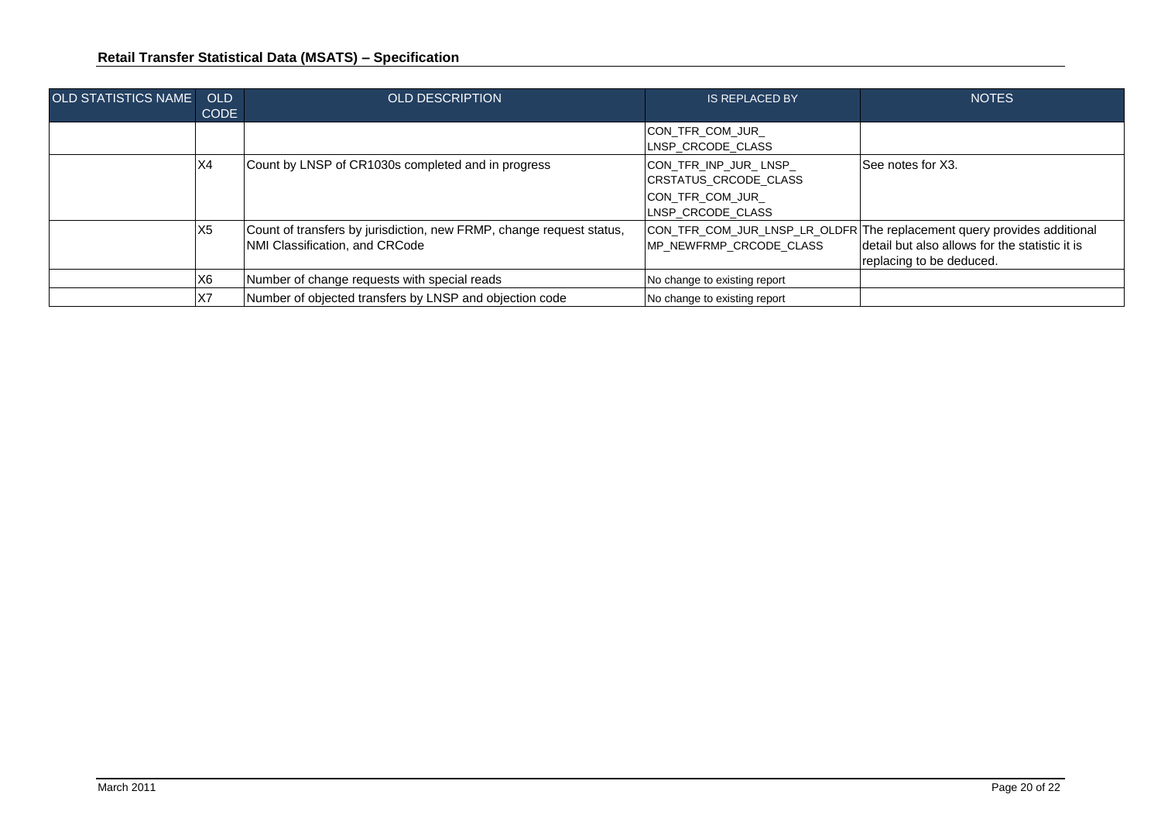| <b>OLD STATISTICS NAME</b> | OLD<br><b>CODE</b> | <b>OLD DESCRIPTION</b>                                                                                 | <b>IS REPLACED BY</b>                                                                  | <b>NOTES</b>                                                                                                                                          |
|----------------------------|--------------------|--------------------------------------------------------------------------------------------------------|----------------------------------------------------------------------------------------|-------------------------------------------------------------------------------------------------------------------------------------------------------|
|                            |                    |                                                                                                        | CON_TFR_COM_JUR_<br>LNSP CRCODE CLASS                                                  |                                                                                                                                                       |
|                            | X4                 | Count by LNSP of CR1030s completed and in progress                                                     | CON_TFR_INP_JUR_LNSP_<br>CRSTATUS CRCODE CLASS<br>CON TFR COM JUR<br>LNSP CRCODE CLASS | See notes for X3.                                                                                                                                     |
|                            | X <sub>5</sub>     | Count of transfers by jurisdiction, new FRMP, change request status,<br>NMI Classification, and CRCode | MP NEWFRMP CRCODE CLASS                                                                | CON_TFR_COM_JUR_LNSP_LR_OLDFR The replacement query provides additional<br>detail but also allows for the statistic it is<br>replacing to be deduced. |
|                            | X <sub>6</sub>     | Number of change requests with special reads                                                           | No change to existing report                                                           |                                                                                                                                                       |
|                            | X7                 | Number of objected transfers by LNSP and objection code                                                | No change to existing report                                                           |                                                                                                                                                       |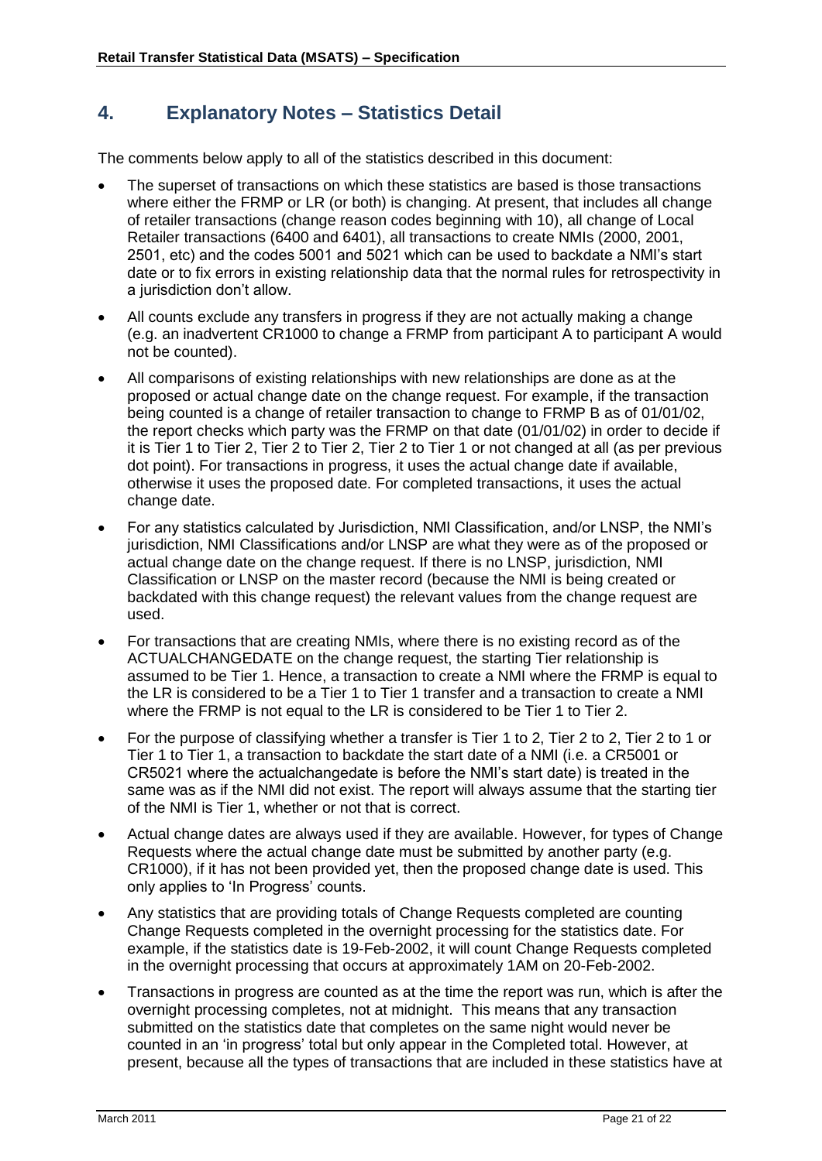#### <span id="page-20-0"></span>**4. Explanatory Notes – Statistics Detail**

The comments below apply to all of the statistics described in this document:

- The superset of transactions on which these statistics are based is those transactions where either the FRMP or LR (or both) is changing. At present, that includes all change of retailer transactions (change reason codes beginning with 10), all change of Local Retailer transactions (6400 and 6401), all transactions to create NMIs (2000, 2001, 2501, etc) and the codes 5001 and 5021 which can be used to backdate a NMI"s start date or to fix errors in existing relationship data that the normal rules for retrospectivity in a jurisdiction don"t allow.
- All counts exclude any transfers in progress if they are not actually making a change (e.g. an inadvertent CR1000 to change a FRMP from participant A to participant A would not be counted).
- All comparisons of existing relationships with new relationships are done as at the proposed or actual change date on the change request. For example, if the transaction being counted is a change of retailer transaction to change to FRMP B as of 01/01/02, the report checks which party was the FRMP on that date (01/01/02) in order to decide if it is Tier 1 to Tier 2, Tier 2 to Tier 2, Tier 2 to Tier 1 or not changed at all (as per previous dot point). For transactions in progress, it uses the actual change date if available, otherwise it uses the proposed date. For completed transactions, it uses the actual change date.
- For any statistics calculated by Jurisdiction, NMI Classification, and/or LNSP, the NMI"s jurisdiction, NMI Classifications and/or LNSP are what they were as of the proposed or actual change date on the change request. If there is no LNSP, jurisdiction, NMI Classification or LNSP on the master record (because the NMI is being created or backdated with this change request) the relevant values from the change request are used.
- For transactions that are creating NMIs, where there is no existing record as of the ACTUALCHANGEDATE on the change request, the starting Tier relationship is assumed to be Tier 1. Hence, a transaction to create a NMI where the FRMP is equal to the LR is considered to be a Tier 1 to Tier 1 transfer and a transaction to create a NMI where the FRMP is not equal to the LR is considered to be Tier 1 to Tier 2.
- For the purpose of classifying whether a transfer is Tier 1 to 2, Tier 2 to 2, Tier 2 to 1 or Tier 1 to Tier 1, a transaction to backdate the start date of a NMI (i.e. a CR5001 or CR5021 where the actualchangedate is before the NMI"s start date) is treated in the same was as if the NMI did not exist. The report will always assume that the starting tier of the NMI is Tier 1, whether or not that is correct.
- Actual change dates are always used if they are available. However, for types of Change Requests where the actual change date must be submitted by another party (e.g. CR1000), if it has not been provided yet, then the proposed change date is used. This only applies to "In Progress" counts.
- Any statistics that are providing totals of Change Requests completed are counting Change Requests completed in the overnight processing for the statistics date. For example, if the statistics date is 19-Feb-2002, it will count Change Requests completed in the overnight processing that occurs at approximately 1AM on 20-Feb-2002.
- Transactions in progress are counted as at the time the report was run, which is after the overnight processing completes, not at midnight. This means that any transaction submitted on the statistics date that completes on the same night would never be counted in an "in progress" total but only appear in the Completed total. However, at present, because all the types of transactions that are included in these statistics have at